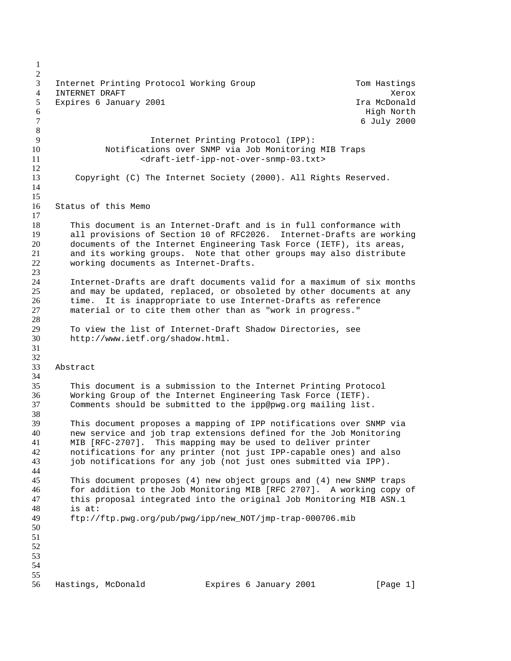3 Internet Printing Protocol Working Group Tom Hastings 4 INTERNET DRAFT **Xerox** 5 Expires 6 January 2001 **II** and the set of the McDonald High North 6 July 2000 Internet Printing Protocol (IPP): Notifications over SNMP via Job Monitoring MIB Traps 11 <araft-ietf-ipp-not-over-snmp-03.txt> Copyright (C) The Internet Society (2000). All Rights Reserved. Status of this Memo 18 This document is an Internet-Draft and is in full conformance with<br>19 all provisions of Section 10 of RFC2026. Internet-Drafts are work 19 all provisions of Section 10 of RFC2026. Internet-Drafts are working<br>20 documents of the Internet Engineering Task Force (IETF), its areas, documents of the Internet Engineering Task Force (IETF), its areas, and its working groups. Note that other groups may also distribute working documents as Internet-Drafts. Internet-Drafts are draft documents valid for a maximum of six months and may be updated, replaced, or obsoleted by other documents at any time. It is inappropriate to use Internet-Drafts as reference material or to cite them other than as "work in progress." To view the list of Internet-Draft Shadow Directories, see http://www.ietf.org/shadow.html. Abstract This document is a submission to the Internet Printing Protocol Working Group of the Internet Engineering Task Force (IETF). Comments should be submitted to the ipp@pwg.org mailing list. This document proposes a mapping of IPP notifications over SNMP via new service and job trap extensions defined for the Job Monitoring MIB [RFC-2707]. This mapping may be used to deliver printer notifications for any printer (not just IPP-capable ones) and also job notifications for any job (not just ones submitted via IPP). This document proposes (4) new object groups and (4) new SNMP traps for addition to the Job Monitoring MIB [RFC 2707]. A working copy of this proposal integrated into the original Job Monitoring MIB ASN.1 48 is at:<br>49 ftp:// ftp://ftp.pwg.org/pub/pwg/ipp/new\_NOT/jmp-trap-000706.mib 56 Hastings, McDonald **Expires 6 January 2001** [Page 1]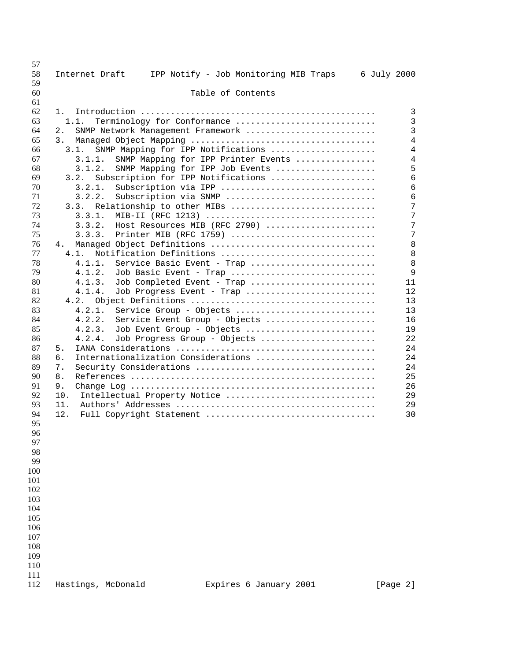| 57       |                    |                                       |             |                |
|----------|--------------------|---------------------------------------|-------------|----------------|
| 58<br>59 | Internet Draft     | IPP Notify - Job Monitoring MIB Traps | 6 July 2000 |                |
| 60<br>61 |                    | Table of Contents                     |             |                |
| 62       | 1.                 |                                       |             | 3              |
| 63       | 1.1.               | Terminology for Conformance           |             | $\overline{3}$ |
| 64       | 2.                 | SNMP Network Management Framework     |             | $\overline{3}$ |
|          |                    |                                       |             |                |
| 65       | 3.                 |                                       |             | $\overline{4}$ |
| 66       | 3.1.               | SNMP Mapping for IPP Notifications    |             | $\overline{4}$ |
| 67       | 3.1.1.             | SNMP Mapping for IPP Printer Events   |             | $\overline{4}$ |
| 68       | 3.1.2.             | SNMP Mapping for IPP Job Events       |             | 5              |
| 69       | 3.2.               | Subscription for IPP Notifications    |             | 6              |
| 70       | 3.2.1.             | Subscription via IPP                  |             | 6              |
| 71       | 3.2.2.             | Subscription via SNMP                 |             | 6              |
| 72       | 3.3.               | Relationship to other MIBs            |             | 7              |
| 73       | 3.3.1.             | MIB-II (RFC 1213)                     |             | 7              |
| 74       | 3.3.2.             | Host Resources MIB (RFC 2790)         |             | 7              |
| 75       | 3.3.3.             | Printer MIB (RFC 1759)                |             | 7              |
| 76       | 4.                 |                                       |             | 8              |
| 77       | 4.1.               | Notification Definitions              |             | $\,8\,$        |
| 78       | 4.1.1.             | Service Basic Event - Trap            |             | 8              |
| 79       | 4.1.2.             | Job Basic Event - Trap                |             | 9              |
| 80       |                    |                                       |             |                |
|          | 4.1.3.             | Job Completed Event - Trap            |             | 11             |
| 81       | 4.1.4.             | Job Progress Event - Trap             |             | 12             |
| 82       | 4.2.               |                                       |             | 13             |
| 83       | 4.2.1.             | Service Group - Objects               |             | 13             |
| 84       | 4.2.2.             | Service Event Group - Objects         |             | 16             |
| 85       | 4.2.3.             | Job Event Group - Objects             |             | 19             |
| 86       | 4.2.4.             | Job Progress Group - Objects          |             | 22             |
| 87       | 5.                 |                                       |             | 24             |
| 88       | б.                 | Internationalization Considerations   |             | 24             |
| 89       | 7.                 |                                       |             | 24             |
| 90       | 8.                 |                                       |             | 25             |
| 91       | 9.                 |                                       |             | 26             |
| 92       | 10.                | Intellectual Property Notice          |             | 29             |
| 93       | 11.                |                                       |             | 29             |
| 94       | 12.                | Full Copyright Statement              |             | 30             |
| 95       |                    |                                       |             |                |
| 96       |                    |                                       |             |                |
| 97       |                    |                                       |             |                |
| 98       |                    |                                       |             |                |
| 99       |                    |                                       |             |                |
| 100      |                    |                                       |             |                |
| 101      |                    |                                       |             |                |
| 102      |                    |                                       |             |                |
| 103      |                    |                                       |             |                |
|          |                    |                                       |             |                |
| 104      |                    |                                       |             |                |
| 105      |                    |                                       |             |                |
| 106      |                    |                                       |             |                |
| 107      |                    |                                       |             |                |
| 108      |                    |                                       |             |                |
| 109      |                    |                                       |             |                |
| 110      |                    |                                       |             |                |
| 111      |                    |                                       |             |                |
| 112      | Hastings, McDonald | Expires 6 January 2001                |             | [Page 2]       |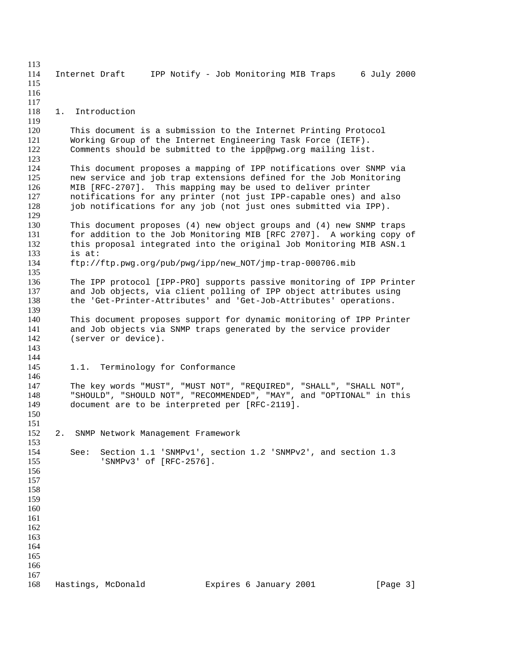| 113 |    |                                                                        |
|-----|----|------------------------------------------------------------------------|
| 114 |    | IPP Notify - Job Monitoring MIB Traps<br>6 July 2000<br>Internet Draft |
| 115 |    |                                                                        |
| 116 |    |                                                                        |
| 117 |    |                                                                        |
| 118 | 1. | Introduction                                                           |
| 119 |    |                                                                        |
| 120 |    | This document is a submission to the Internet Printing Protocol        |
| 121 |    | Working Group of the Internet Engineering Task Force (IETF).           |
| 122 |    | Comments should be submitted to the ipp@pwg.org mailing list.          |
| 123 |    |                                                                        |
| 124 |    | This document proposes a mapping of IPP notifications over SNMP via    |
| 125 |    | new service and job trap extensions defined for the Job Monitoring     |
| 126 |    | MIB [RFC-2707]. This mapping may be used to deliver printer            |
| 127 |    | notifications for any printer (not just IPP-capable ones) and also     |
| 128 |    | job notifications for any job (not just ones submitted via IPP).       |
| 129 |    |                                                                        |
| 130 |    | This document proposes (4) new object groups and (4) new SNMP traps    |
| 131 |    | for addition to the Job Monitoring MIB [RFC 2707]. A working copy of   |
| 132 |    | this proposal integrated into the original Job Monitoring MIB ASN.1    |
| 133 |    | is at:                                                                 |
| 134 |    | ftp://ftp.pwg.org/pub/pwg/ipp/new NOT/jmp-trap-000706.mib              |
| 135 |    |                                                                        |
| 136 |    | The IPP protocol [IPP-PRO] supports passive monitoring of IPP Printer  |
| 137 |    | and Job objects, via client polling of IPP object attributes using     |
| 138 |    | the 'Get-Printer-Attributes' and 'Get-Job-Attributes' operations.      |
| 139 |    |                                                                        |
| 140 |    | This document proposes support for dynamic monitoring of IPP Printer   |
| 141 |    | and Job objects via SNMP traps generated by the service provider       |
| 142 |    | (server or device).                                                    |
| 143 |    |                                                                        |
| 144 |    |                                                                        |
| 145 |    | Terminology for Conformance<br>1.1.                                    |
| 146 |    |                                                                        |
| 147 |    | The key words "MUST", "MUST NOT", "REQUIRED", "SHALL", "SHALL NOT",    |
| 148 |    | "SHOULD", "SHOULD NOT", "RECOMMENDED", "MAY", and "OPTIONAL" in this   |
| 149 |    | document are to be interpreted per [RFC-2119].                         |
| 150 |    |                                                                        |
| 151 |    |                                                                        |
| 152 | 2. | SNMP Network Management Framework                                      |
| 153 |    |                                                                        |
| 154 |    | Section 1.1 'SNMPv1', section 1.2 'SNMPv2', and section 1.3<br>See:    |
| 155 |    | 'SNMPv3' of [RFC-2576].                                                |
| 156 |    |                                                                        |
| 157 |    |                                                                        |
| 158 |    |                                                                        |
| 159 |    |                                                                        |
| 160 |    |                                                                        |
| 161 |    |                                                                        |
| 162 |    |                                                                        |
| 163 |    |                                                                        |
| 164 |    |                                                                        |
| 165 |    |                                                                        |
| 166 |    |                                                                        |
| 167 |    |                                                                        |
| 168 |    | Hastings, McDonald<br>Expires 6 January 2001<br>[Page 3]               |
|     |    |                                                                        |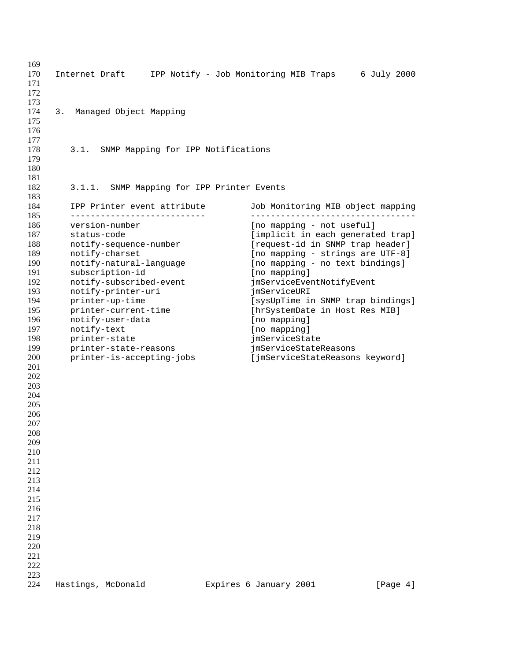| 169 |                                            |                                       |             |
|-----|--------------------------------------------|---------------------------------------|-------------|
| 170 | Internet Draft                             | IPP Notify - Job Monitoring MIB Traps | 6 July 2000 |
| 171 |                                            |                                       |             |
| 172 |                                            |                                       |             |
| 173 |                                            |                                       |             |
| 174 | Managed Object Mapping<br>3.               |                                       |             |
| 175 |                                            |                                       |             |
| 176 |                                            |                                       |             |
| 177 |                                            |                                       |             |
| 178 | 3.1.<br>SNMP Mapping for IPP Notifications |                                       |             |
| 179 |                                            |                                       |             |
| 180 |                                            |                                       |             |
| 181 |                                            |                                       |             |
| 182 | 3.1.1. SNMP Mapping for IPP Printer Events |                                       |             |
| 183 |                                            |                                       |             |
| 184 | IPP Printer event attribute                | Job Monitoring MIB object mapping     |             |
| 185 | ___________________________                | --------------------                  |             |
| 186 | version-number                             | [no mapping - not useful]             |             |
| 187 | status-code                                | [implicit in each generated trap]     |             |
| 188 | notify-sequence-number                     | [request-id in SNMP trap header]      |             |
| 189 | notify-charset                             | [no mapping - strings are UTF-8]      |             |
| 190 | notify-natural-language                    | [no mapping - no text bindings]       |             |
| 191 | subscription-id                            | [no mapping]                          |             |
| 192 | notify-subscribed-event                    | jmServiceEventNotifyEvent             |             |
| 193 | notify-printer-uri                         | jmServiceURI                          |             |
| 194 | printer-up-time                            | [sysUpTime in SNMP trap bindings]     |             |
| 195 | printer-current-time                       | [hrSystemDate in Host Res MIB]        |             |
| 196 | notify-user-data                           | [no mapping]                          |             |
| 197 | notify-text                                | [no mapping]                          |             |
| 198 | printer-state                              | jmServiceState                        |             |
| 199 | printer-state-reasons                      | jmServiceStateReasons                 |             |
| 200 | printer-is-accepting-jobs                  | [jmServiceStateReasons keyword]       |             |
| 201 |                                            |                                       |             |
| 202 |                                            |                                       |             |
| 203 |                                            |                                       |             |
| 204 |                                            |                                       |             |
| 205 |                                            |                                       |             |
| 206 |                                            |                                       |             |
| 207 |                                            |                                       |             |
| 208 |                                            |                                       |             |
| 209 |                                            |                                       |             |
| 210 |                                            |                                       |             |
| 211 |                                            |                                       |             |
| 212 |                                            |                                       |             |
| 213 |                                            |                                       |             |
| 214 |                                            |                                       |             |
| 215 |                                            |                                       |             |
|     |                                            |                                       |             |
| 216 |                                            |                                       |             |
| 217 |                                            |                                       |             |
| 218 |                                            |                                       |             |
| 219 |                                            |                                       |             |
| 220 |                                            |                                       |             |
| 221 |                                            |                                       |             |
| 222 |                                            |                                       |             |
| 223 |                                            |                                       |             |
| 224 | Hastings, McDonald                         | Expires 6 January 2001                | [Page 4]    |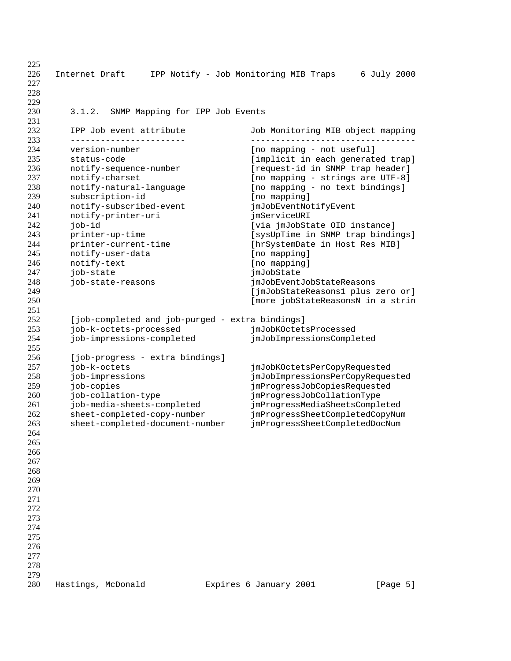| 225<br>226<br>227<br>228 | Internet Draft                                  | IPP Notify - Job Monitoring MIB Traps                            | 6 July 2000 |
|--------------------------|-------------------------------------------------|------------------------------------------------------------------|-------------|
| 229                      |                                                 |                                                                  |             |
| 230<br>231               | SNMP Mapping for IPP Job Events<br>3.1.2.       |                                                                  |             |
| 232                      | IPP Job event attribute                         | Job Monitoring MIB object mapping                                |             |
| 233                      | ------------------------                        | ______________________________                                   |             |
| 234                      | version-number                                  | [no mapping - not useful]                                        |             |
| 235                      | status-code                                     | [implicit in each generated trap]                                |             |
| 236                      | notify-sequence-number                          | [request-id in SNMP trap header]                                 |             |
| 237                      | notify-charset                                  | [no mapping - strings are UTF-8]                                 |             |
| 238                      | notify-natural-language                         | [no mapping - no text bindings]                                  |             |
| 239                      | subscription-id                                 | [no mapping]                                                     |             |
| 240                      | notify-subscribed-event                         | jmJobEventNotifyEvent                                            |             |
| 241                      | notify-printer-uri                              | jmServiceURI                                                     |             |
| 242                      | job-id                                          | [via jmJobState OID instance]                                    |             |
| 243                      | printer-up-time                                 | [sysUpTime in SNMP trap bindings]                                |             |
| 244                      | printer-current-time                            | [hrSystemDate in Host Res MIB]                                   |             |
| 245                      | notify-user-data                                | [no mapping]                                                     |             |
| 246                      | notify-text                                     | [no mapping]                                                     |             |
| 247                      | job-state                                       | jmJobState                                                       |             |
| 248                      | job-state-reasons                               | jmJobEventJobStateReasons                                        |             |
| 249<br>250               |                                                 | [jmJobStateReasons1 plus zero or]                                |             |
|                          |                                                 | [more jobStateReasonsN in a strin                                |             |
| 251<br>252               |                                                 |                                                                  |             |
| 253                      | [job-completed and job-purged - extra bindings] |                                                                  |             |
| 254                      | job-k-octets-processed                          | jmJobKOctetsProcessed                                            |             |
| 255                      | job-impressions-completed                       | jmJobImpressionsCompleted                                        |             |
| 256                      |                                                 |                                                                  |             |
| 257                      | [job-progress - extra bindings]<br>job-k-octets |                                                                  |             |
| 258                      | job-impressions                                 | jmJobKOctetsPerCopyRequested                                     |             |
| 259                      | job-copies                                      | jmJobImpressionsPerCopyRequested<br>jmProgressJobCopiesRequested |             |
| 260                      | job-collation-type                              | jmProgressJobCollationType                                       |             |
| 261                      | job-media-sheets-completed                      | jmProgressMediaSheetsCompleted                                   |             |
| 262                      | sheet-completed-copy-number                     | jmProgressSheetCompletedCopyNum                                  |             |
| 263                      | sheet-completed-document-number                 | jmProgressSheetCompletedDocNum                                   |             |
| 264                      |                                                 |                                                                  |             |
| 265                      |                                                 |                                                                  |             |
| 266                      |                                                 |                                                                  |             |
| 267                      |                                                 |                                                                  |             |
| 268                      |                                                 |                                                                  |             |
| 269                      |                                                 |                                                                  |             |
| 270                      |                                                 |                                                                  |             |
| 271                      |                                                 |                                                                  |             |
| 272                      |                                                 |                                                                  |             |
| 273                      |                                                 |                                                                  |             |
| 274                      |                                                 |                                                                  |             |
| 275                      |                                                 |                                                                  |             |
| 276                      |                                                 |                                                                  |             |
| 277                      |                                                 |                                                                  |             |
| 278                      |                                                 |                                                                  |             |
| 279                      |                                                 |                                                                  |             |
| 280                      | Hastings, McDonald                              | Expires 6 January 2001                                           | [Page 5]    |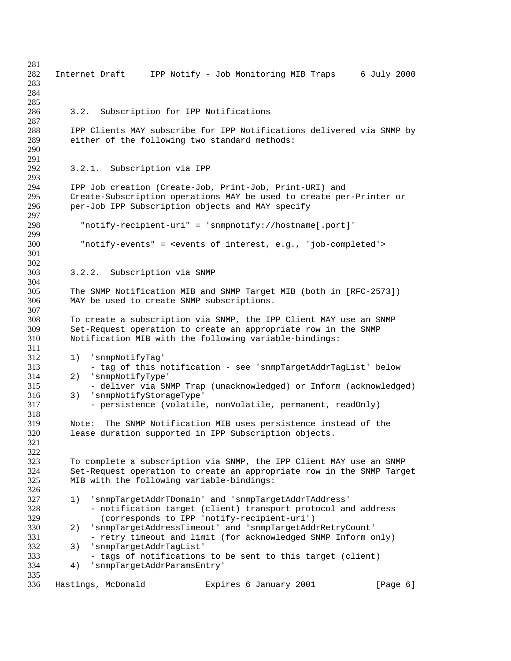Internet Draft IPP Notify - Job Monitoring MIB Traps 6 July 2000 3.2. Subscription for IPP Notifications 288 IPP Clients MAY subscribe for IPP Notifications delivered via SNMP by<br>289 either of the following two standard methods: either of the following two standard methods: 3.2.1. Subscription via IPP IPP Job creation (Create-Job, Print-Job, Print-URI) and Create-Subscription operations MAY be used to create per-Printer or per-Job IPP Subscription objects and MAY specify "notify-recipient-uri" = 'snmpnotify://hostname[.port]' "notify-events" = <events of interest, e.g., 'job-completed'> 3.2.2. Subscription via SNMP The SNMP Notification MIB and SNMP Target MIB (both in [RFC-2573]) MAY be used to create SNMP subscriptions. To create a subscription via SNMP, the IPP Client MAY use an SNMP Set-Request operation to create an appropriate row in the SNMP Notification MIB with the following variable-bindings: 1) 'snmpNotifyTag' - tag of this notification - see 'snmpTargetAddrTagList' below 2) 'snmpNotifyType' - deliver via SNMP Trap (unacknowledged) or Inform (acknowledged) 3) 'snmpNotifyStorageType' - persistence (volatile, nonVolatile, permanent, readOnly) 319 Note: The SNMP Notification MIB uses persistence instead of the 320 lease duration supported in IPP Subscription objects. lease duration supported in IPP Subscription objects. To complete a subscription via SNMP, the IPP Client MAY use an SNMP Set-Request operation to create an appropriate row in the SNMP Target MIB with the following variable-bindings: 1) 'snmpTargetAddrTDomain' and 'snmpTargetAddrTAddress' 328 - notification target (client) transport protocol and address<br>329 (corresponds to IPP 'notify-recipient-uri') (corresponds to IPP 'notify-recipient-uri') 2) 'snmpTargetAddressTimeout' and 'snmpTargetAddrRetryCount' - retry timeout and limit (for acknowledged SNMP Inform only) 3) 'snmpTargetAddrTagList' - tags of notifications to be sent to this target (client) 4) 'snmpTargetAddrParamsEntry' 336 Hastings, McDonald Expires 6 January 2001 [Page 6]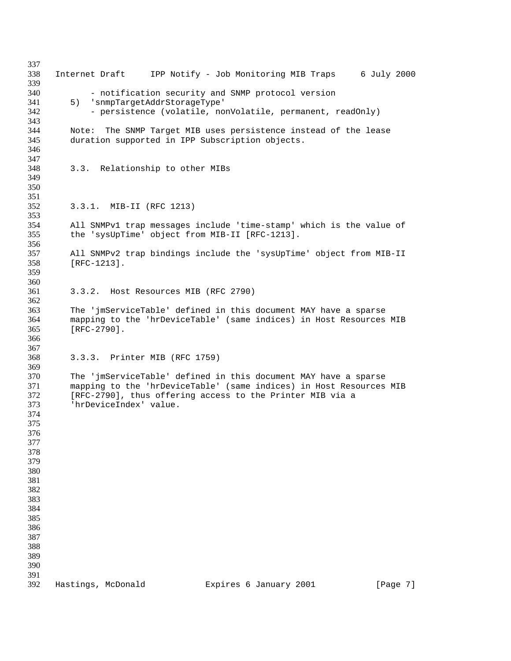Internet Draft IPP Notify - Job Monitoring MIB Traps 6 July 2000 - notification security and SNMP protocol version 5) 'snmpTargetAddrStorageType' - persistence (volatile, nonVolatile, permanent, readOnly) Note: The SNMP Target MIB uses persistence instead of the lease duration supported in IPP Subscription objects. 3.3. Relationship to other MIBs 351<br>352 3.3.1. MIB-II (RFC 1213) All SNMPv1 trap messages include 'time-stamp' which is the value of the 'sysUpTime' object from MIB-II [RFC-1213]. All SNMPv2 trap bindings include the 'sysUpTime' object from MIB-II [RFC-1213]. 3.3.2. Host Resources MIB (RFC 2790) The 'jmServiceTable' defined in this document MAY have a sparse mapping to the 'hrDeviceTable' (same indices) in Host Resources MIB [RFC-2790]. 3.3.3. Printer MIB (RFC 1759) The 'jmServiceTable' defined in this document MAY have a sparse mapping to the 'hrDeviceTable' (same indices) in Host Resources MIB [RFC-2790], thus offering access to the Printer MIB via a 'hrDeviceIndex' value. 392 Hastings, McDonald Expires 6 January 2001 [Page 7]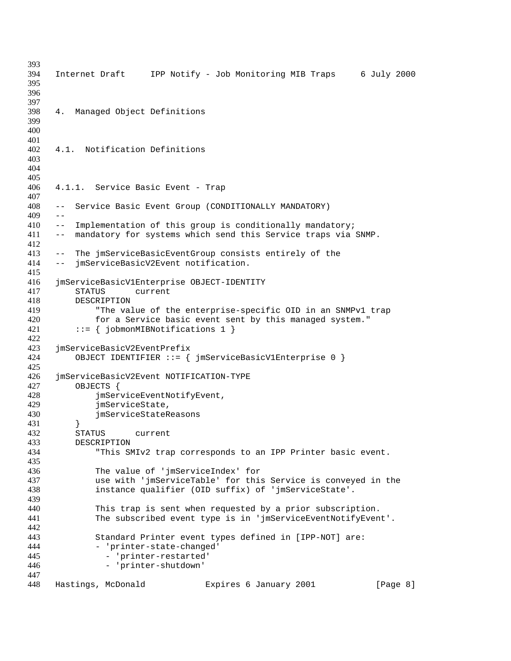Internet Draft IPP Notify - Job Monitoring MIB Traps 6 July 2000 4. Managed Object Definitions 4.1. Notification Definitions 4.1.1. Service Basic Event - Trap -- Service Basic Event Group (CONDITIONALLY MANDATORY) --<br> $410$  --410 -- Implementation of this group is conditionally mandatory;<br>411 -- mandatory for systems which send this Service traps via -- mandatory for systems which send this Service traps via SNMP. -- The jmServiceBasicEventGroup consists entirely of the -- jmServiceBasicV2Event notification. jmServiceBasicV1Enterprise OBJECT-IDENTITY STATUS current DESCRIPTION "The value of the enterprise-specific OID in an SNMPv1 trap for a Service basic event sent by this managed system." 421 ::=  $\{jobmonMIBNotifications 1\}$  jmServiceBasicV2EventPrefix OBJECT IDENTIFIER ::= { jmServiceBasicV1Enterprise 0 } jmServiceBasicV2Event NOTIFICATION-TYPE 427 OBJECTS {<br>428 imSer jmServiceEventNotifyEvent, jmServiceState, jmServiceStateReasons  $\begin{array}{c} 431 \\ 432 \end{array}$   $\begin{array}{c} \text{S} \\ \text{S} \end{array}$ STATUS current DESCRIPTION "This SMIv2 trap corresponds to an IPP Printer basic event. The value of 'jmServiceIndex' for use with 'jmServiceTable' for this Service is conveyed in the instance qualifier (OID suffix) of 'jmServiceState'. This trap is sent when requested by a prior subscription. The subscribed event type is in 'jmServiceEventNotifyEvent'. Standard Printer event types defined in [IPP-NOT] are: 444 - 'printer-state-changed' - 'printer-restarted' - 'printer-shutdown' 448 Hastings, McDonald Expires 6 January 2001 [Page 8]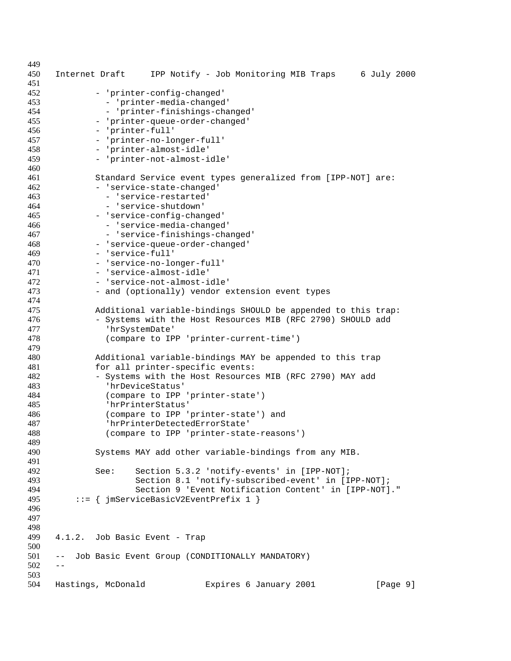```
449
450 Internet Draft IPP Notify - Job Monitoring MIB Traps 6 July 2000
451
452 - 'printer-config-changed'
453 - 'printer-media-changed'
454 - 'printer-finishings-changed'
455 - 'printer-queue-order-changed'
456 - 'printer-full'
457 - 'printer-no-longer-full'
458 - 'printer-almost-idle'
459 - 'printer-not-almost-idle'
460
461 Standard Service event types generalized from [IPP-NOT] are:
462 - 'service-state-changed'
463 - 'service-restarted'<br>464 - 'service-shutdown'
              - 'service-shutdown'
465 - 'service-config-changed'
466 - 'service-media-changed'<br>467 - 'service-finishings-cha
              - 'service-finishings-changed'
468 - 'service-queue-order-changed'
469 - 'service-full'
470 - 'service-no-longer-full'
471 - 'service-almost-idle'
472 - 'service-not-almost-idle'
473 - and (optionally) vendor extension event types
474
475 Additional variable-bindings SHOULD be appended to this trap:
476 - Systems with the Host Resources MIB (RFC 2790) SHOULD add
477 'hrSystemDate'
478 (compare to IPP 'printer-current-time')
479
480 Additional variable-bindings MAY be appended to this trap
481 for all printer-specific events:
482 - Systems with the Host Resources MIB (RFC 2790) MAY add<br>483 - PhrDeviceStatus'
483 'hrDeviceStatus'<br>484 (compare to IPP
              (compare to IPP 'printer-state')
485 'hrPrinterStatus'
486 (compare to IPP 'printer-state') and<br>487 (hrPrinterDetectedErrorState'
487 ThrPrinterDetectedErrorState<br>488 (compare to IPP 'printer-stat
              (compare to IPP 'printer-state-reasons')
489
490 Systems MAY add other variable-bindings from any MIB.
491
492 See: Section 5.3.2 'notify-events' in [IPP-NOT];
493 Section 8.1 'notify-subscribed-event' in [IPP-NOT];
494 Section 9 'Event Notification Content' in [IPP-NOT]."<br>495 ::= { imServiceBasicV2EventPrefix 1 }
         ::= { jmServiceBasicV2EventPrefix 1 }
496
497
498
499 4.1.2. Job Basic Event - Trap
500
501 -- Job Basic Event Group (CONDITIONALLY MANDATORY)
502 - -503
504 Hastings, McDonald Expires 6 January 2001 [Page 9]
```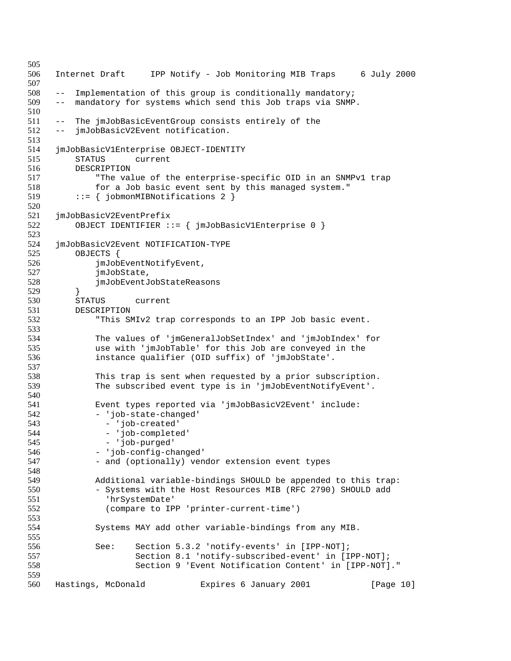```
505
506 Internet Draft IPP Notify - Job Monitoring MIB Traps 6 July 2000
507
508 -- Implementation of this group is conditionally mandatory;
509 -- mandatory for systems which send this Job traps via SNMP.
510
511 -- The jmJobBasicEventGroup consists entirely of the
512 -- jmJobBasicV2Event notification.
513
514 jmJobBasicV1Enterprise OBJECT-IDENTITY
515 STATUS current
516 DESCRIPTION
517 "The value of the enterprise-specific OID in an SNMPv1 trap
518 for a Job basic event sent by this managed system."
519 ::= \{ jobmonMIBNotifications 2 \}520
521 jmJobBasicV2EventPrefix<br>522 OBJECT IDENTIFIER :
        OBJECT IDENTIFIER ::= { jmJobBasicV1Enterprise 0 }
523
524 jmJobBasicV2Event NOTIFICATION-TYPE
525 OBJECTS {
526 jmJobEventNotifyEvent,
527 jmJobState,
528 jmJobEventJobStateReasons
529 }
530 STATUS current
531 DESCRIPTION
532 "This SMIv2 trap corresponds to an IPP Job basic event.
533
534 The values of 'jmGeneralJobSetIndex' and 'jmJobIndex' for
535 use with 'jmJobTable' for this Job are conveyed in the
536 instance qualifier (OID suffix) of 'jmJobState'.
537
538 This trap is sent when requested by a prior subscription.<br>539 The subscribed event type is in 'jmJobEventNotifyEvent'.
            The subscribed event type is in 'jmJobEventNotifyEvent'.
540
541 Event types reported via 'jmJobBasicV2Event' include:
542 - 'job-state-changed'
543 - 'job-created'<br>544 - 'iob-complete
             - 'job-completed'
545 - 'job-purged'
546 - 'job-config-changed'
547 - and (optionally) vendor extension event types
548
549 Additional variable-bindings SHOULD be appended to this trap:
550 - Systems with the Host Resources MIB (RFC 2790) SHOULD add
551 'hrSystemDate'
552 (compare to IPP 'printer-current-time')
553
554 Systems MAY add other variable-bindings from any MIB.
555
556 See: Section 5.3.2 'notify-events' in [IPP-NOT];
557 Section 8.1 'notify-subscribed-event' in [IPP-NOT];
558 Section 9 'Event Notification Content' in [IPP-NOT]."
559
560 Hastings, McDonald Expires 6 January 2001 [Page 10]
```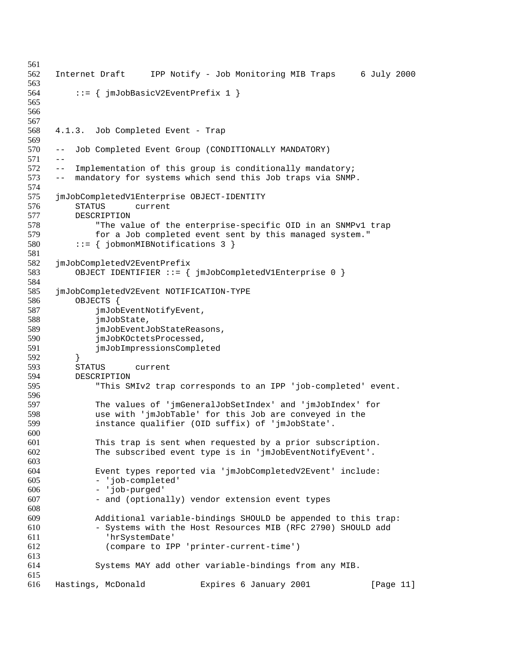```
561
562 Internet Draft IPP Notify - Job Monitoring MIB Traps 6 July 2000
563
564 ::= { jmJobBasicV2EventPrefix 1 }
565
566
567
568 4.1.3. Job Completed Event - Trap
569
570 -- Job Completed Event Group (CONDITIONALLY MANDATORY)
571572 -- Implementation of this group is conditionally mandatory;
573 -- mandatory for systems which send this Job traps via SNMP.
574
575 jmJobCompletedV1Enterprise OBJECT-IDENTITY
576 STATUS current
577 DESCRIPTION<br>578 "The val
578 The value of the enterprise-specific OID in an SNMPv1 trap<br>579 for a Job completed event sent by this managed system."
            for a Job completed event sent by this managed system."
580 ::= { jobmonMIBNotifications 3 }
581
582 jmJobCompletedV2EventPrefix
583 OBJECT IDENTIFIER ::= { jmJobCompletedV1Enterprise 0 }
584
585 jmJobCompletedV2Event NOTIFICATION-TYPE
586 OBJECTS {
587 jmJobEventNotifyEvent,
588 jmJobState,
589 jmJobEventJobStateReasons,
590 jmJobKOctetsProcessed,
591 jmJobImpressionsCompleted
592 }
593 STATUS current
594 DESCRIPTION<br>595 "This SI
             "This SMIv2 trap corresponds to an IPP 'job-completed' event.
596
597 The values of 'jmGeneralJobSetIndex' and 'jmJobIndex' for
598 use with 'jmJobTable' for this Job are conveyed in the<br>599                  instance qualifier (OID suffix) of 'imJobState'.
            instance qualifier (OID suffix) of 'jmJobState'.
600
601 This trap is sent when requested by a prior subscription.
602 The subscribed event type is in 'jmJobEventNotifyEvent'.
603
604 Event types reported via 'jmJobCompletedV2Event' include:
605 - 'job-completed'
606 - 'job-purged'
607 - and (optionally) vendor extension event types
608
609 Additional variable-bindings SHOULD be appended to this trap:
610 - Systems with the Host Resources MIB (RFC 2790) SHOULD add
611 'hrSystemDate'
612 (compare to IPP 'printer-current-time')
613
614 Systems MAY add other variable-bindings from any MIB.
615
616 Hastings, McDonald Expires 6 January 2001 [Page 11]
```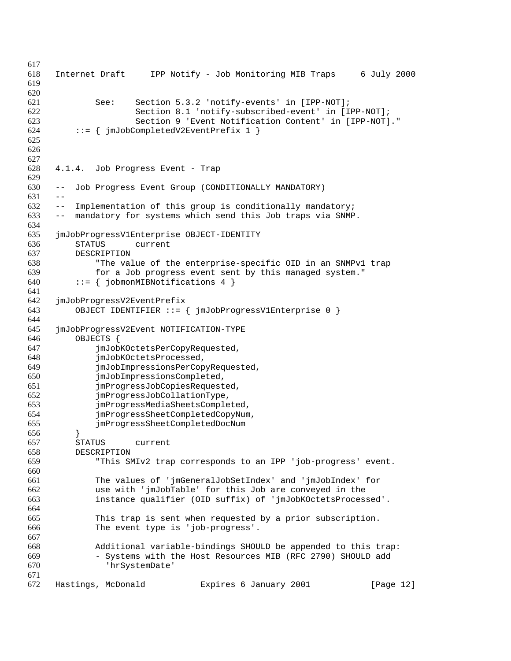Internet Draft IPP Notify - Job Monitoring MIB Traps 6 July 2000 See: Section 5.3.2 'notify-events' in [IPP-NOT]; Section 8.1 'notify-subscribed-event' in [IPP-NOT]; Section 9 'Event Notification Content' in [IPP-NOT]." 624 ::=  $\{jmJobCompleted V2EventPrefix 1\}$  4.1.4. Job Progress Event - Trap -- Job Progress Event Group (CONDITIONALLY MANDATORY)  $631 - -$  -- Implementation of this group is conditionally mandatory; -- mandatory for systems which send this Job traps via SNMP. jmJobProgressV1Enterprise OBJECT-IDENTITY STATUS current DESCRIPTION "The value of the enterprise-specific OID in an SNMPv1 trap for a Job progress event sent by this managed system." 640 ::= { jobmonMIBNotifications 4 } jmJobProgressV2EventPrefix OBJECT IDENTIFIER ::= { jmJobProgressV1Enterprise 0 } jmJobProgressV2Event NOTIFICATION-TYPE OBJECTS { jmJobKOctetsPerCopyRequested, jmJobKOctetsProcessed, jmJobImpressionsPerCopyRequested, jmJobImpressionsCompleted, 651 jmProgressJobCopiesRequested,<br>652 imProgressJobCollationType, jmProgressJobCollationType, jmProgressMediaSheetsCompleted, jmProgressSheetCompletedCopyNum, jmProgressSheetCompletedDocNum } STATUS current DESCRIPTION "This SMIv2 trap corresponds to an IPP 'job-progress' event. The values of 'jmGeneralJobSetIndex' and 'jmJobIndex' for use with 'jmJobTable' for this Job are conveyed in the instance qualifier (OID suffix) of 'jmJobKOctetsProcessed'. This trap is sent when requested by a prior subscription. The event type is 'job-progress'. Additional variable-bindings SHOULD be appended to this trap: - Systems with the Host Resources MIB (RFC 2790) SHOULD add 'hrSystemDate' Hastings, McDonald Expires 6 January 2001 [Page 12]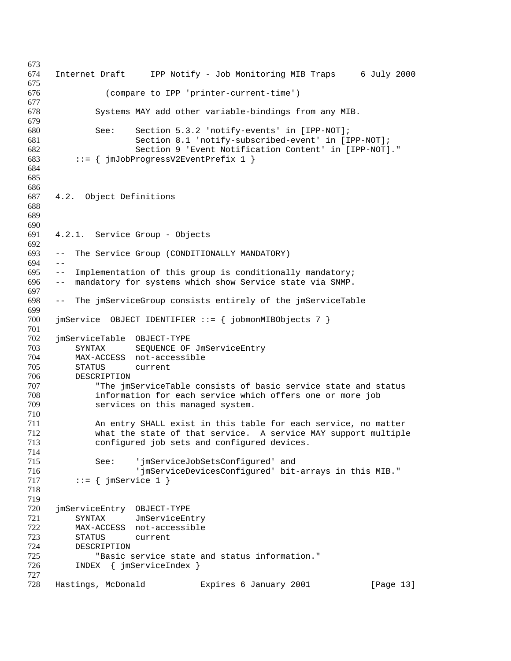```
673
674 Internet Draft IPP Notify - Job Monitoring MIB Traps 6 July 2000
675
676 (compare to IPP 'printer-current-time')
677
678 Systems MAY add other variable-bindings from any MIB.
679
680 See: Section 5.3.2 'notify-events' in [IPP-NOT];
681 Section 8.1 'notify-subscribed-event' in [IPP-NOT];
682 Section 9 'Event Notification Content' in [IPP-NOT]."
683 ::= { jmJobProgressV2EventPrefix 1 }
684
685
686
687 4.2. Object Definitions
688
689
690
691 4.2.1. Service Group - Objects
692
693 -- The Service Group (CONDITIONALLY MANDATORY)
694 - -695 -- Implementation of this group is conditionally mandatory;
696 -- mandatory for systems which show Service state via SNMP.
697
698 -- The jmServiceGroup consists entirely of the jmServiceTable
699
700 jmService OBJECT IDENTIFIER ::= { jobmonMIBObjects 7 }
701
702 jmServiceTable OBJECT-TYPE
703 SYNTAX SEQUENCE OF JmServiceEntry
704 MAX-ACCESS not-accessible
705 STATUS current
706 DESCRIPTION<br>707 "The im
707 The jmServiceTable consists of basic service state and status<br>708 The information for each service which offers one or more job
708 information for each service which offers one or more job<br>709 services on this managed system.
             services on this managed system.
710
711 The An entry SHALL exist in this table for each service, no matter<br>712 The state of that service. A service MAY support multiple
             what the state of that service. A service MAY support multiple
713 configured job sets and configured devices.
714
             See: 'jmServiceJobSetsConfigured' and
716 'jmServiceDevicesConfigured' bit-arrays in this MIB."
717 ::= \{ \text{jmService 1 } \}718
719
720 jmServiceEntry OBJECT-TYPE
721 SYNTAX JmServiceEntry
722 MAX-ACCESS not-accessible
723 STATUS current
724 DESCRIPTION
725 "Basic service state and status information."
726 INDEX { jmServiceIndex }
727
728 Hastings, McDonald Expires 6 January 2001 [Page 13]
```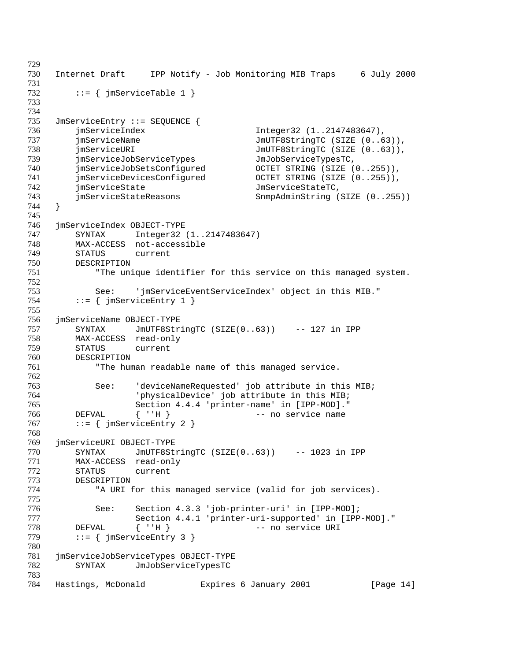Internet Draft IPP Notify - Job Monitoring MIB Traps 6 July 2000 732 ::=  $\{ \text{imServiceTable 1} \}$  JmServiceEntry ::= SEQUENCE { jmServiceIndex Integer32 (1..2147483647), **jmServiceName** and *JmUTF8StringTC* (SIZE (0..63)), 738 **jmServiceURI jumping** JmUTF8StringTC (SIZE  $(0..63)$ ), jmServiceJobServiceTypes JmJobServiceTypesTC, jmServiceJobSetsConfigured OCTET STRING (SIZE (0..255)), jmServiceDevicesConfigured OCTET STRING (SIZE (0..255)), 742 jmServiceState JmServiceStateTC, jmServiceStateReasons SnmpAdminString (SIZE (0..255)) } jmServiceIndex OBJECT-TYPE SYNTAX Integer32 (1..2147483647) MAX-ACCESS not-accessible STATUS current DESCRIPTION "The unique identifier for this service on this managed system. See: 'jmServiceEventServiceIndex' object in this MIB." 754 ::=  $\{$  jmServiceEntry 1  $\}$  jmServiceName OBJECT-TYPE SYNTAX JmUTF8StringTC (SIZE(0..63)) -- 127 in IPP MAX-ACCESS read-only STATUS current DESCRIPTION "The human readable name of this managed service. See: 'deviceNameRequested' job attribute in this MIB; 764 'physicalDevice' job attribute in this MIB;<br>765 Section 4.4.4 'printer-name' in [IPP-MOD]." Section 4.4.4 'printer-name' in [IPP-MOD]." DEFVAL { ''H } -- no service name 767 ::=  $\{$  jmServiceEntry 2  $\}$  jmServiceURI OBJECT-TYPE SYNTAX JmUTF8StringTC (SIZE(0..63)) -- 1023 in IPP MAX-ACCESS read-only STATUS current DESCRIPTION "A URI for this managed service (valid for job services). See: Section 4.3.3 'job-printer-uri' in [IPP-MOD]; Section 4.4.1 'printer-uri-supported' in [IPP-MOD]." 778 DEFVAL { 'H } -- no service URI 779 ::=  $\{$  jmServiceEntry 3  $\}$  jmServiceJobServiceTypes OBJECT-TYPE SYNTAX JmJobServiceTypesTC Hastings, McDonald Expires 6 January 2001 [Page 14]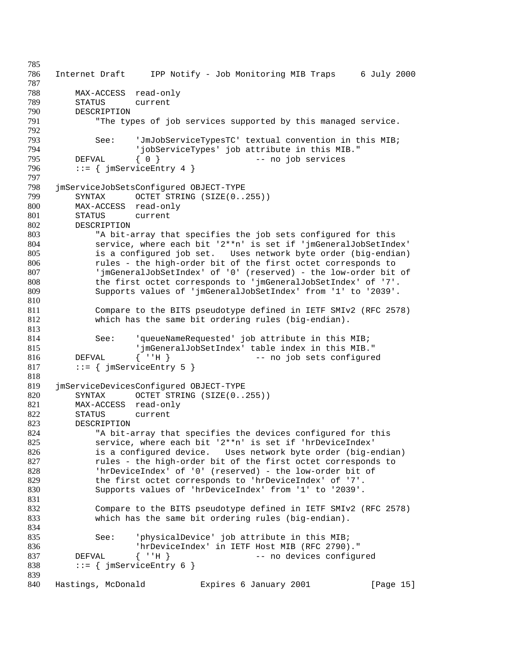786 Internet Draft IPP Notify - Job Monitoring MIB Traps 6 July 2000 MAX-ACCESS read-only STATUS current DESCRIPTION "The types of job services supported by this managed service. 793 See: 'JmJobServiceTypesTC' textual convention in this MIB;<br>794 See: 'iobServiceTypes' iob attribute in this MIB." 'jobServiceTypes' job attribute in this MIB." DEFVAL { 0 } -- no job services 796 ::=  $\{ j \text{m} \text{ServiceEntry } 4 \}$  jmServiceJobSetsConfigured OBJECT-TYPE 799 SYNTAX OCTET STRING (SIZE(0..255))<br>800 MAX-ACCESS read-only MAX-ACCESS read-only 801 STATUS current<br>802 DESCRIPTION 802 DESCRIPTION<br>803 "A bit-803 The bit-array that specifies the job sets configured for this 804 service, where each bit  $2**n'$  is set if 'jmGeneralJobSetInde service, where each bit '2\*\*n' is set if 'jmGeneralJobSetIndex' is a configured job set. Uses network byte order (big-endian) rules - the high-order bit of the first octet corresponds to 'jmGeneralJobSetIndex' of '0' (reserved) - the low-order bit of the first octet corresponds to 'jmGeneralJobSetIndex' of '7'. Supports values of 'jmGeneralJobSetIndex' from '1' to '2039'. Compare to the BITS pseudotype defined in IETF SMIv2 (RFC 2578) which has the same bit ordering rules (big-endian). See: 'queueNameRequested' job attribute in this MIB; 'jmGeneralJobSetIndex' table index in this MIB." 816 DEFVAL { 'H } -- no job sets configured ::= { jmServiceEntry 5 } 819 jmServiceDevicesConfigured OBJECT-TYPE<br>820 SYNTAX OCTET STRING (SIZE(0... SYNTAX OCTET STRING (SIZE(0..255)) MAX-ACCESS read-only 822 STATUS current<br>823 DESCRIPTION 823 DESCRIPTION<br>824 "A bit-a "A bit-array that specifies the devices configured for this service, where each bit '2\*\*n' is set if 'hrDeviceIndex' is a configured device. Uses network byte order (big-endian) 827 rules - the high-order bit of the first octet corresponds to 'hrDeviceIndex' of '0' (reserved) - the low-order bit of the first octet corresponds to 'hrDeviceIndex' of '7'. Supports values of 'hrDeviceIndex' from '1' to '2039'. 832 Compare to the BITS pseudotype defined in IETF SMIv2 (RFC 2578)<br>833 Which has the same bit ordering rules (big-endian). which has the same bit ordering rules (big-endian). See: 'physicalDevice' job attribute in this MIB; 'hrDeviceIndex' in IETF Host MIB (RFC 2790)." 837 DEFVAL { ''H } -- no devices configured 838 ::=  $\{ \text{imServiceEntry } 6 \}$  840 Hastings, McDonald Expires 6 January 2001 [Page 15]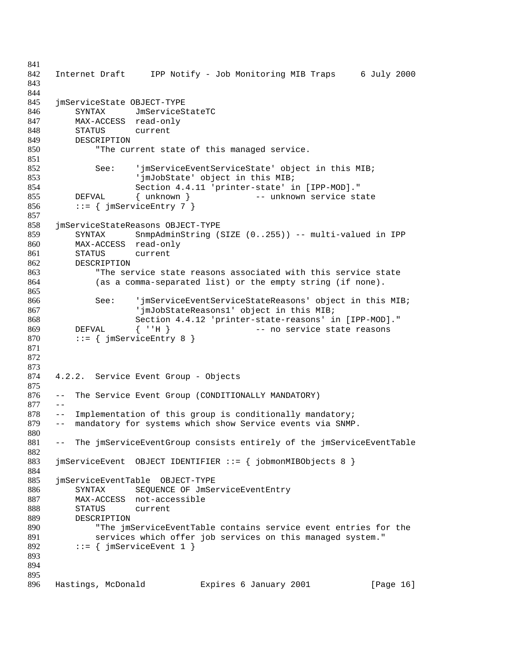```
841
842 Internet Draft IPP Notify - Job Monitoring MIB Traps 6 July 2000
843
844
845 jmServiceState OBJECT-TYPE
846 SYNTAX JmServiceStateTC
847 MAX-ACCESS read-only
848 STATUS current
849 DESCRIPTION
850 "The current state of this managed service.
851
852 See: 'jmServiceEventServiceState' object in this MIB;
853 'jmJobState' object in this MIB;
854 Section 4.4.11 'printer-state' in [IPP-MOD]."
855 DEFVAL { unknown } -- unknown service state<br>856 ::= { jmServiceEntry 7 }
        ::= { jmServiceEntry 7 }
857
858 jmServiceStateReasons OBJECT-TYPE<br>859 SYNTAX SnmpAdminString ()
        859 SYNTAX SnmpAdminString (SIZE (0..255)) -- multi-valued in IPP
860 MAX-ACCESS read-only
861 STATUS current
862 DESCRIPTION
863 "The service state reasons associated with this service state
864 (as a comma-separated list) or the empty string (if none).
865
866 See: 'jmServiceEventServiceStateReasons' object in this MIB;
867 'jmJobStateReasons1' object in this MIB;
868 Section 4.4.12 'printer-state-reasons' in [IPP-MOD]."
869 DEFVAL { ''H } -- no service state reasons
870 ::= \{ jmserviceEntry 8 \}871
872
873
874 4.2.2. Service Event Group - Objects
875
876 -- The Service Event Group (CONDITIONALLY MANDATORY)
877 --
878 -- Implementation of this group is conditionally mandatory;
879 -- mandatory for systems which show Service events via SNMP.
880
881 -- The jmServiceEventGroup consists entirely of the jmServiceEventTable
882
883 jmServiceEvent OBJECT IDENTIFIER ::= { jobmonMIBObjects 8 }
884
885 jmServiceEventTable OBJECT-TYPE
886 SYNTAX SEQUENCE OF JmServiceEventEntry
887 MAX-ACCESS not-accessible
888 STATUS current<br>889 DESCRIPTION
        DESCRIPTION
890 "The jmServiceEventTable contains service event entries for the
891 services which offer job services on this managed system."
892 ::= \{ jmServiceEvent 1 \}893
894
895
896 Hastings, McDonald Expires 6 January 2001 [Page 16]
```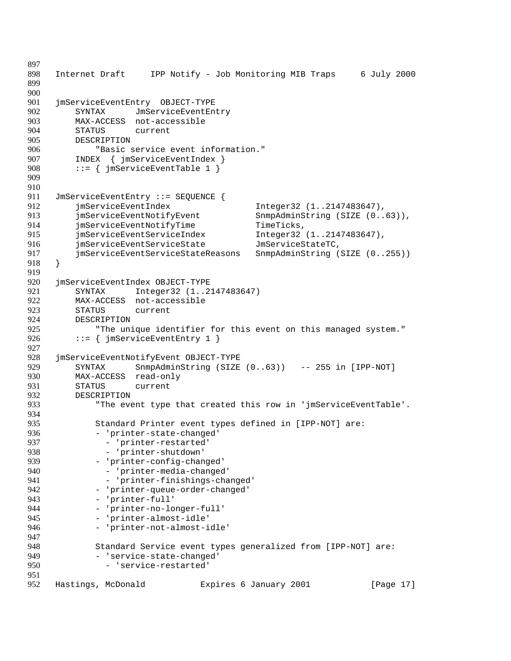```
897
898 Internet Draft IPP Notify - Job Monitoring MIB Traps 6 July 2000
899
900
901 jmServiceEventEntry OBJECT-TYPE
902 SYNTAX JmServiceEventEntry
903 MAX-ACCESS not-accessible
904 STATUS current<br>905 DESCRIPTION
         905 DESCRIPTION
906 "Basic service event information."
907 INDEX { jmServiceEventIndex }
908 ::= { jmServiceEventTable 1 }
909
910
911 JmServiceEventEntry ::= SEQUENCE {<br>912 jmServiceEventIndex
912 jmServiceEventIndex Integer32 (1..2147483647),<br>913 jmServiceEventNotifyEvent SnmpAdminString (SIZE (0..
913 jmServiceEventNotifyEvent SnmpAdminString (SIZE (0..63)),
914 jmServiceEventNotifyTime TimeTicks,<br>915 jmServiceEventServiceIndex Integer32 (1..2147483647),
915 jmServiceEventServiceIndex<br>916 imServiceEventServiceState
         jmServiceEventServiceState JmServiceStateTC,
917 jmServiceEventServiceStateReasons SnmpAdminString (SIZE (0..255))
918 }
919
920 jmServiceEventIndex OBJECT-TYPE
921 SYNTAX Integer32 (1..2147483647)<br>922 MAX-ACCESS not-accessible
         MAX-ACCESS not-accessible
923 STATUS current
924 DESCRIPTION
925 "The unique identifier for this event on this managed system."
926 ::= \{ jmServiceEventEntry 1 \}927
928 jmServiceEventNotifyEvent OBJECT-TYPE
929 SYNTAX SnmpAdminString (SIZE (0..63)) -- 255 in [IPP-NOT]
930 MAX-ACCESS read-only<br>931 STATUS current
931 STATUS current<br>932 DESCRIPTION
932 DESCRIPTION<br>933 "The eve
             "The event type that created this row in 'jmServiceEventTable'.
934
935 Standard Printer event types defined in [IPP-NOT] are:
936 - 'printer-state-changed'
937 - 'printer-restarted'
938 - 'printer-shutdown'
939 - 'printer-config-changed'
940 - 'printer-media-changed'
941 - 'printer-finishings-changed'
942 - 'printer-queue-order-changed'
943 - 'printer-full'<br>944 - 'printer-no-lo
944 - 'printer-no-longer-full'<br>945 - 'printer-almost-idle'
             - 'printer-almost-idle'
946 - 'printer-not-almost-idle'
947
948 Standard Service event types generalized from [IPP-NOT] are:
949 - 'service-state-changed'
950 - 'service-restarted'
951
952 Hastings, McDonald Expires 6 January 2001 [Page 17]
```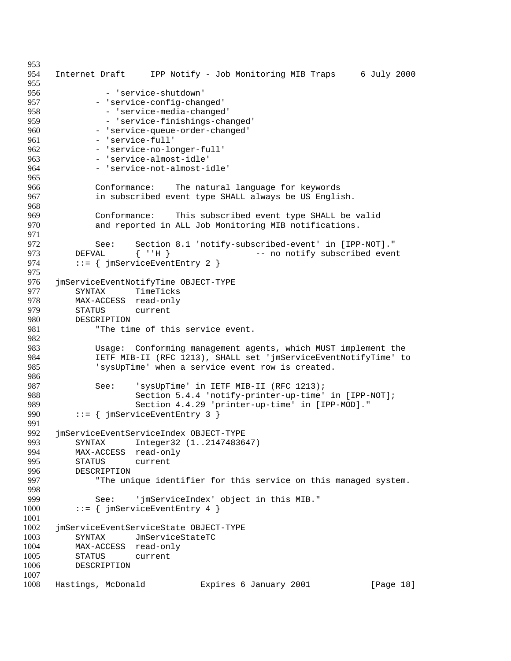```
953
954 Internet Draft IPP Notify - Job Monitoring MIB Traps 6 July 2000
955
956 - 'service-shutdown'
957 - 'service-config-changed'
958 - 'service-media-changed'
959 - 'service-finishings-changed'
960 - 'service-queue-order-changed'
961 - 'service-full'
962 - 'service-no-longer-full'
963 - 'service-almost-idle'
964 - 'service-not-almost-idle'
965
966 Conformance: The natural language for keywords
967 in subscribed event type SHALL always be US English.
968
969 Conformance: This subscribed event type SHALL be valid
            and reported in ALL Job Monitoring MIB notifications.
971
972 See: Section 8.1 'notify-subscribed-event' in [IPP-NOT]."
973 DEFVAL { ''H } -- no notify subscribed event
974 ::= { jmServiceEventEntry 2 }
975
976 jmServiceEventNotifyTime OBJECT-TYPE
977 SYNTAX TimeTicks
        MAX-ACCESS read-only
979 STATUS current
980 DESCRIPTION
981 The time of this service event.
982<br>983
            Usage: Conforming management agents, which MUST implement the
984 IETF MIB-II (RFC 1213), SHALL set 'jmServiceEventNotifyTime' to
985 'sysUpTime' when a service event row is created.
986
987 See: 'sysUpTime' in IETF MIB-II (RFC 1213);<br>988 Section 5.4.4 'notify-printer-up-time'
988 Section 5.4.4 'notify-printer-up-time' in [IPP-NOT];<br>989 Section 4.4.29 'printer-up-time' in [IPP-MOD]."
                   989 Section 4.4.29 'printer-up-time' in [IPP-MOD]."
990 ::= { jmServiceEventEntry 3 }
991<br>992
     992 jmServiceEventServiceIndex OBJECT-TYPE
993 SYNTAX Integer32 (1..2147483647)
994 MAX-ACCESS read-only
995 STATUS current
996 DESCRIPTION
997 The unique identifier for this service on this managed system.
998
999 See: 'jmServiceIndex' object in this MIB."
1000 ::= \{ jmServiceEventEntry 4 \}1001
1002 jmServiceEventServiceState OBJECT-TYPE
1003 SYNTAX JmServiceStateTC
1004 MAX-ACCESS read-only
1005 STATUS current
1006 DESCRIPTION
1007
1008 Hastings, McDonald Expires 6 January 2001 [Page 18]
```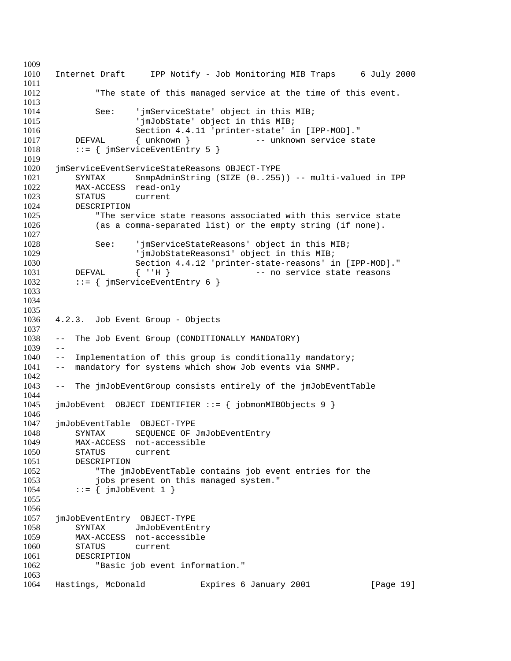Internet Draft IPP Notify - Job Monitoring MIB Traps 6 July 2000 "The state of this managed service at the time of this event. See: 'jmServiceState' object in this MIB; 'jmJobState' object in this MIB; Section 4.4.11 'printer-state' in [IPP-MOD]." 1017 DEFVAL { unknown } -- unknown service state 1018 ::= { jmServiceEventEntry 5 } jmServiceEventServiceStateReasons OBJECT-TYPE SYNTAX SnmpAdminString (SIZE (0..255)) -- multi-valued in IPP MAX-ACCESS read-only STATUS current DESCRIPTION 1025 The service state reasons associated with this service state<br>1026 (as a comma-separated list) or the empty string (if none). (as a comma-separated list) or the empty string (if none). See: 'jmServiceStateReasons' object in this MIB; 'jmJobStateReasons1' object in this MIB; Section 4.4.12 'printer-state-reasons' in [IPP-MOD]." 1031 DEFVAL { ''H } -- no service state reasons ::= { jmServiceEventEntry 6 } 4.2.3. Job Event Group - Objects -- The Job Event Group (CONDITIONALLY MANDATORY)  $1039 - -$  -- Implementation of this group is conditionally mandatory; -- mandatory for systems which show Job events via SNMP. -- The jmJobEventGroup consists entirely of the jmJobEventTable jmJobEvent OBJECT IDENTIFIER ::= { jobmonMIBObjects 9 } jmJobEventTable OBJECT-TYPE SYNTAX SEQUENCE OF JmJobEventEntry MAX-ACCESS not-accessible STATUS current DESCRIPTION "The jmJobEventTable contains job event entries for the jobs present on this managed system." 1054 ::=  $\{ \text{jmJobEvent 1 } \}$  jmJobEventEntry OBJECT-TYPE SYNTAX JmJobEventEntry MAX-ACCESS not-accessible 1060 STATUS current<br>1061 DESCRIPTION **DESCRIPTION**  "Basic job event information." Hastings, McDonald Expires 6 January 2001 [Page 19]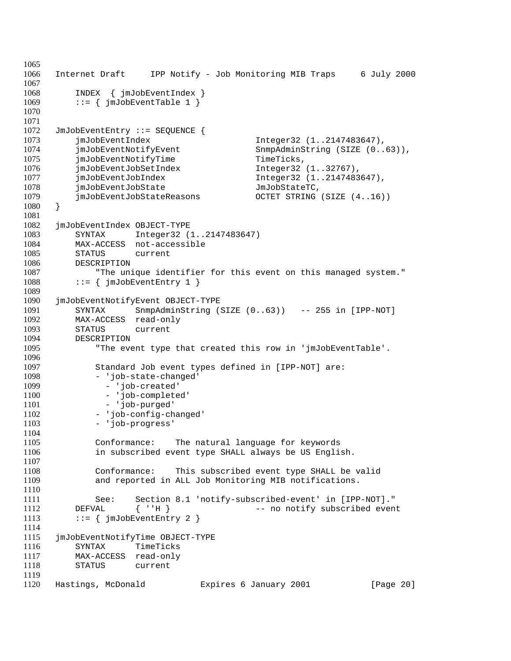```
1065
1066 Internet Draft IPP Notify - Job Monitoring MIB Traps 6 July 2000
1067
1068 INDEX { jmJobEventIndex }
1069 ::= \{ \text{jmJobEventTable 1} \}1070
1071
1072 JmJobEventEntry ::= SEQUENCE {
1073 jmJobEventIndex Integer32 (1..2147483647),
1074 jmJobEventNotifyEvent SnmpAdminString (SIZE (0..63)),
1075 imJobEventNotifyTime TimeTicks,
1076 jmJobEventJobSetIndex Integer32 (1..32767),
1077 jmJobEventJobIndex Integer32 (1..2147483647),
1078 jmJobEventJobState JmJobStateTC,
1079 jmJobEventJobStateReasons OCTET STRING (SIZE (4..16))
1080 }
1081
1082 jmJobEventIndex OBJECT-TYPE<br>1083 SYNTAX Integer32 (1
        SYNTAX Integer32 (1..2147483647)
1084 MAX-ACCESS not-accessible<br>1085 STATUS current
1085 STATUS current
1086 DESCRIPTION
1087 "The unique identifier for this event on this managed system."
1088 ::= \{ \text{imJobEventEntry 1} \}1089
1090 jmJobEventNotifyEvent OBJECT-TYPE
1091 SYNTAX SnmpAdminString (SIZE (0..63)) -- 255 in [IPP-NOT]
1092 MAX-ACCESS read-only
1093 STATUS current
1094 DESCRIPTION
1095 "The event type that created this row in 'jmJobEventTable'.
1096
1097 Standard Job event types defined in [IPP-NOT] are:
1098 - 'job-state-changed'
1099 - 'job-created'
1100 - 'job-completed'
1101 - 'job-purged'
1102 - 'job-config-changed'
1103 - 'job-progress'
1104
1105 Conformance: The natural language for keywords
1106 in subscribed event type SHALL always be US English.
1107
1108 Conformance: This subscribed event type SHALL be valid
1109 and reported in ALL Job Monitoring MIB notifications.
1110
1111 See: Section 8.1 'notify-subscribed-event' in [IPP-NOT]."
1112 DEFVAL { ''H } -- no notify subscribed event
1113 ::= \{jmJobEventEntry 2\}1114
1115 jmJobEventNotifyTime OBJECT-TYPE
1116 SYNTAX TimeTicks
1117 MAX-ACCESS read-only
1118 STATUS current
1119
1120 Hastings, McDonald Expires 6 January 2001 [Page 20]
```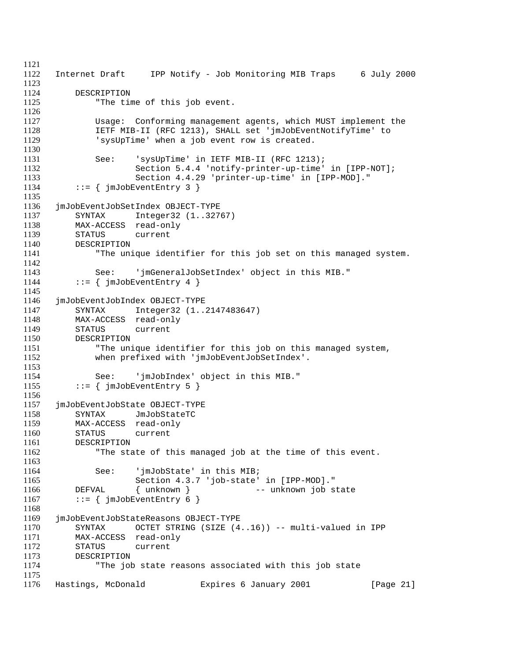Internet Draft IPP Notify - Job Monitoring MIB Traps 6 July 2000 DESCRIPTION "The time of this job event. Usage: Conforming management agents, which MUST implement the IETF MIB-II (RFC 1213), SHALL set 'jmJobEventNotifyTime' to 'sysUpTime' when a job event row is created. 1131 See: 'sysUpTime' in IETF MIB-II (RFC 1213); Section 5.4.4 'notify-printer-up-time' in [IPP-NOT]; Section 4.4.29 'printer-up-time' in [IPP-MOD]." 1134 ::=  $\{ \text{jmJobEventEntry } 3 \}$  jmJobEventJobSetIndex OBJECT-TYPE SYNTAX Integer32 (1..32767) 1138 MAX-ACCESS read-only<br>1139 STATUS current STATUS current DESCRIPTION "The unique identifier for this job set on this managed system. See: 'jmGeneralJobSetIndex' object in this MIB." 1144 ::=  $\{$  jmJobEventEntry 4  $\}$  jmJobEventJobIndex OBJECT-TYPE SYNTAX Integer32 (1..2147483647) MAX-ACCESS read-only STATUS current DESCRIPTION "The unique identifier for this job on this managed system, when prefixed with 'jmJobEventJobSetIndex'. See: 'jmJobIndex' object in this MIB." 1155 ::=  $\{$  jmJobEventEntry 5  $\}$  jmJobEventJobState OBJECT-TYPE SYNTAX JmJobStateTC MAX-ACCESS read-only STATUS current DESCRIPTION "The state of this managed job at the time of this event. 1164 See: 'jmJobState' in this MIB; Section 4.3.7 'job-state' in [IPP-MOD]." DEFVAL { unknown } -- unknown job state 1167 ::=  $\{jmJobEventEntry 6\}$  jmJobEventJobStateReasons OBJECT-TYPE SYNTAX OCTET STRING (SIZE (4..16)) -- multi-valued in IPP MAX-ACCESS read-only STATUS current DESCRIPTION "The job state reasons associated with this job state 1176 Hastings, McDonald **Expires 6 January 2001** [Page 21]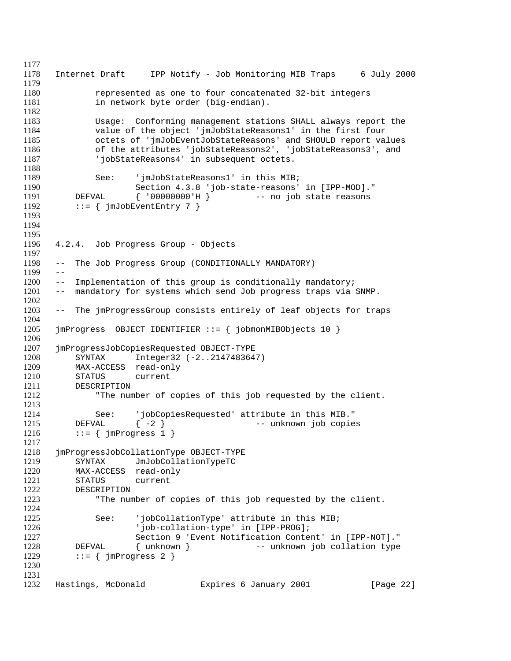Internet Draft IPP Notify - Job Monitoring MIB Traps 6 July 2000 represented as one to four concatenated 32-bit integers in network byte order (big-endian). Usage: Conforming management stations SHALL always report the value of the object 'jmJobStateReasons1' in the first four octets of 'jmJobEventJobStateReasons' and SHOULD report values of the attributes 'jobStateReasons2', 'jobStateReasons3', and 'jobStateReasons4' in subsequent octets. See: 'jmJobStateReasons1' in this MIB; Section 4.3.8 'job-state-reasons' in [IPP-MOD]." 1191 DEFVAL  $\{ '00000000' H \}$  -- no job state reasons<br>1192 :=  $\{ jmJobEventEntry 7 \}$  $\cdot := \{$  jmJobEventEntry 7  $\}$  4.2.4. Job Progress Group - Objects -- The Job Progress Group (CONDITIONALLY MANDATORY)  $1199 - -$  -- Implementation of this group is conditionally mandatory; -- mandatory for systems which send Job progress traps via SNMP. -- The jmProgressGroup consists entirely of leaf objects for traps jmProgress OBJECT IDENTIFIER ::= { jobmonMIBObjects 10 } jmProgressJobCopiesRequested OBJECT-TYPE SYNTAX Integer32 (-2..2147483647) MAX-ACCESS read-only STATUS current 1211 DESCRIPTION<br>1212 "The nur "The number of copies of this job requested by the client. See: 'jobCopiesRequested' attribute in this MIB." 1215 DEFVAL  $\{-2\}$  -- unknown job copies 1216 ::=  $\{ jmProgress 1 \}$  jmProgressJobCollationType OBJECT-TYPE SYNTAX JmJobCollationTypeTC MAX-ACCESS read-only STATUS current DESCRIPTION "The number of copies of this job requested by the client. See: 'jobCollationType' attribute in this MIB; 1226 'job-collation-type' in [IPP-PROG]; Section 9 'Event Notification Content' in [IPP-NOT]." DEFVAL { unknown } -- unknown job collation type 1229 ::=  $\{ \text{imProgress 2 } \}$  Hastings, McDonald Expires 6 January 2001 [Page 22]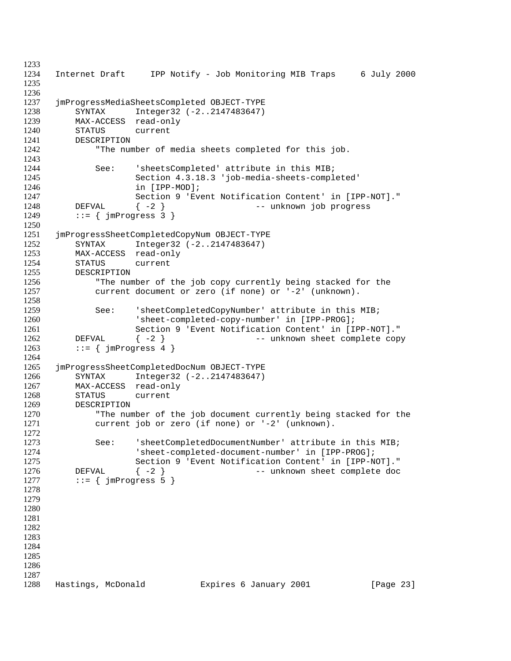```
1233
1234 Internet Draft IPP Notify - Job Monitoring MIB Traps 6 July 2000
1235
1236
1237 jmProgressMediaSheetsCompleted OBJECT-TYPE
1238 SYNTAX Integer32 (-2..2147483647)
1239 MAX-ACCESS read-only
1240 STATUS current
1241 DESCRIPTION
1242 "The number of media sheets completed for this job.
1243
1244 See: 'sheetsCompleted' attribute in this MIB;
1245 Section 4.3.18.3 'job-media-sheets-completed'
1246 in [IPP-MOD];
1247 Section 9 'Event Notification Content' in [IPP-NOT]."<br>1248 DEFVAL { -2 } -- unknown job progress
         DEFVAL \{-2\} - - unknown job progress
1249 ::= \{ jmProgress 3 \}1250
1251 jmProgressSheetCompletedCopyNum OBJECT-TYPE<br>1252 SYNTAX Integer32 (-2..2147483647)
         SYNTAX Integer32 (-2..2147483647)
1253 MAX-ACCESS read-only
1254 STATUS current
1255 DESCRIPTION
1256 "The number of the job copy currently being stacked for the
1257 current document or zero (if none) or '-2' (unknown).
1258
1259 See: 'sheetCompletedCopyNumber' attribute in this MIB;
1260 'sheet-completed-copy-number' in [IPP-PROG];
1261 Section 9 'Event Notification Content' in [IPP-NOT]."
1262 DEFVAL { -2 } -- unknown sheet complete copy
1263 ::= \{ jmProgress 4 \}1264
1265 jmProgressSheetCompletedDocNum OBJECT-TYPE
1266 SYNTAX Integer32 (-2..2147483647)
1267 MAX-ACCESS read-only<br>1268 STATUS current
         STATUS current
1269 DESCRIPTION
1270 "The number of the job document currently being stacked for the
1271 current job or zero (if none) or '-2' (unknown).
1272
1273 See: 'sheetCompletedDocumentNumber' attribute in this MIB;
1274 'sheet-completed-document-number' in [IPP-PROG];
1275 Section 9 'Event Notification Content' in [IPP-NOT]."
1276 DEFVAL { -2 } -- unknown sheet complete doc
1277 ::= \{ jmProgress 5 \}1278
1279
1280
1281
1282
1283
1284
1285
1286
1287
1288 Hastings, McDonald Expires 6 January 2001 [Page 23]
```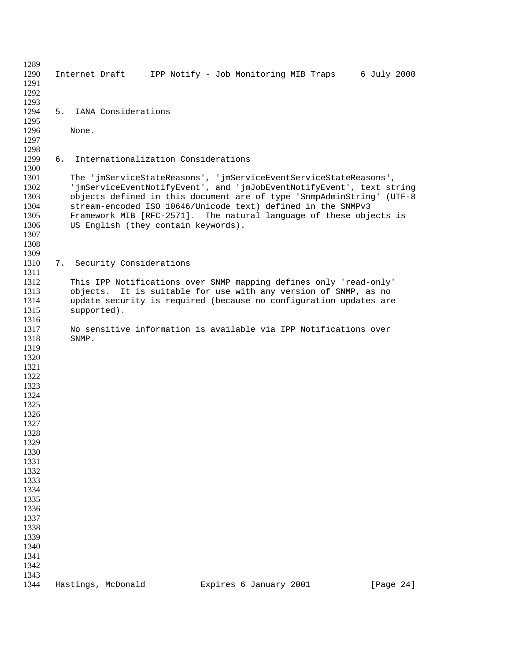Internet Draft IPP Notify - Job Monitoring MIB Traps 6 July 2000 5. IANA Considerations None. 6. Internationalization Considerations The 'jmServiceStateReasons', 'jmServiceEventServiceStateReasons', 'jmServiceEventNotifyEvent', and 'jmJobEventNotifyEvent', text string 1303 objects defined in this document are of type 'SnmpAdminString' (UTF-8<br>1304 stream-encoded ISO 10646/Unicode text) defined in the SNMPv3 stream-encoded ISO 10646/Unicode text) defined in the SNMPv3 1305 Framework MIB [RFC-2571]. The natural language of these objects is 1306 US English (they contain keywords). US English (they contain keywords). 7. Security Considerations This IPP Notifications over SNMP mapping defines only 'read-only' 1313 objects. It is suitable for use with any version of SNMP, as no<br>1314 update security is required (because no configuration updates are update security is required (because no configuration updates are supported). No sensitive information is available via IPP Notifications over SNMP. 1344 Hastings, McDonald **Expires 6 January 2001** [Page 24]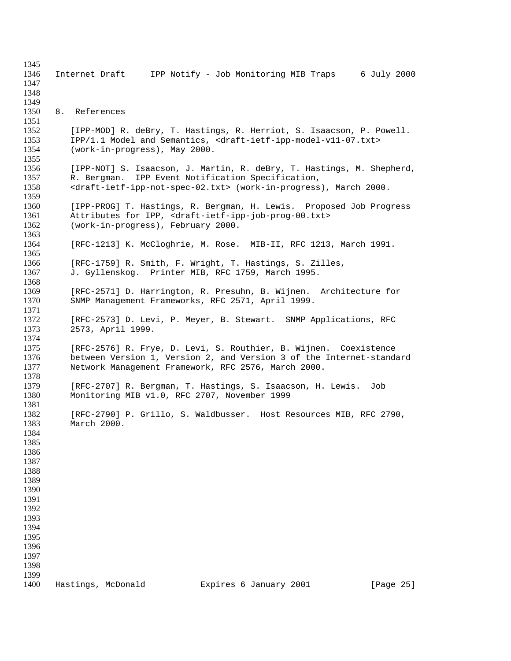| 1345<br>1346<br>1347<br>1348         | Internet Draft                               | IPP Notify - Job Monitoring MIB Traps                                                                                                                                                                                           | 6 July 2000 |
|--------------------------------------|----------------------------------------------|---------------------------------------------------------------------------------------------------------------------------------------------------------------------------------------------------------------------------------|-------------|
| 1349<br>1350<br>1351                 | 8. References                                |                                                                                                                                                                                                                                 |             |
| 1352<br>1353<br>1354                 | (work-in-progress), May 2000.                | [IPP-MOD] R. deBry, T. Hastings, R. Herriot, S. Isaacson, P. Powell.<br>IPP/1.1 Model and Semantics, <draft-ietf-ipp-model-v11-07.txt></draft-ietf-ipp-model-v11-07.txt>                                                        |             |
| 1355<br>1356<br>1357<br>1358<br>1359 |                                              | [IPP-NOT] S. Isaacson, J. Martin, R. deBry, T. Hastings, M. Shepherd,<br>R. Bergman. IPP Event Notification Specification,<br><draft-ietf-ipp-not-spec-02.txt> (work-in-progress), March 2000.</draft-ietf-ipp-not-spec-02.txt> |             |
| 1360<br>1361<br>1362<br>1363         | (work-in-progress), February 2000.           | [IPP-PROG] T. Hastings, R. Bergman, H. Lewis. Proposed Job Progress<br>Attributes for IPP, <draft-ietf-ipp-job-prog-00.txt></draft-ietf-ipp-job-prog-00.txt>                                                                    |             |
| 1364<br>1365                         |                                              | [RFC-1213] K. McCloghrie, M. Rose. MIB-II, RFC 1213, March 1991.                                                                                                                                                                |             |
| 1366<br>1367<br>1368                 |                                              | [RFC-1759] R. Smith, F. Wright, T. Hastings, S. Zilles,<br>J. Gyllenskog. Printer MIB, RFC 1759, March 1995.                                                                                                                    |             |
| 1369<br>1370<br>1371                 |                                              | [RFC-2571] D. Harrington, R. Presuhn, B. Wijnen. Architecture for<br>SNMP Management Frameworks, RFC 2571, April 1999.                                                                                                          |             |
| 1372<br>1373<br>1374                 | 2573, April 1999.                            | [RFC-2573] D. Levi, P. Meyer, B. Stewart. SNMP Applications, RFC                                                                                                                                                                |             |
| 1375<br>1376<br>1377<br>1378         |                                              | [RFC-2576] R. Frye, D. Levi, S. Routhier, B. Wijnen. Coexistence<br>between Version 1, Version 2, and Version 3 of the Internet-standard<br>Network Management Framework, RFC 2576, March 2000.                                 |             |
| 1379<br>1380<br>1381                 | Monitoring MIB v1.0, RFC 2707, November 1999 | [RFC-2707] R. Bergman, T. Hastings, S. Isaacson, H. Lewis.                                                                                                                                                                      | Job         |
| 1382<br>1383<br>1384<br>1385<br>1386 | March 2000.                                  | [RFC-2790] P. Grillo, S. Waldbusser. Host Resources MIB, RFC 2790,                                                                                                                                                              |             |
| 1387<br>1388<br>1389<br>1390         |                                              |                                                                                                                                                                                                                                 |             |
| 1391<br>1392<br>1393                 |                                              |                                                                                                                                                                                                                                 |             |
| 1394<br>1395<br>1396<br>1397<br>1398 |                                              |                                                                                                                                                                                                                                 |             |
| 1399<br>1400                         | Hastings, McDonald                           | Expires 6 January 2001                                                                                                                                                                                                          | [Page 25]   |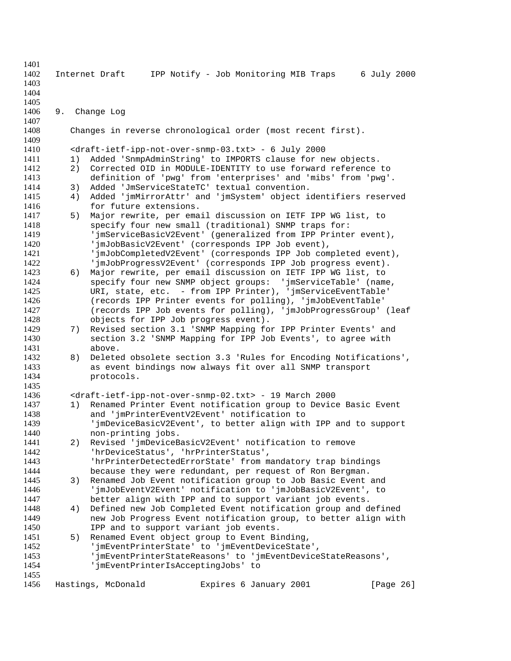Internet Draft IPP Notify - Job Monitoring MIB Traps 6 July 2000 9. Change Log Changes in reverse chronological order (most recent first). <draft-ietf-ipp-not-over-snmp-03.txt> - 6 July 2000 1) Added 'SnmpAdminString' to IMPORTS clause for new objects. 2) Corrected OID in MODULE-IDENTITY to use forward reference to definition of 'pwg' from 'enterprises' and 'mibs' from 'pwg'. 3) Added 'JmServiceStateTC' textual convention. 4) Added 'jmMirrorAttr' and 'jmSystem' object identifiers reserved for future extensions. 1417 5) Major rewrite, per email discussion on IETF IPP WG list, to<br>1418 Specify four new small (traditional) SNMP traps for: 1418 specify four new small (traditional) SNMP traps for:<br>1419 'imServiceBasicV2Event' (generalized from IPP Printe 'jmServiceBasicV2Event' (generalized from IPP Printer event), 'jmJobBasicV2Event' (corresponds IPP Job event), 'jmJobCompletedV2Event' (corresponds IPP Job completed event), 'jmJobProgressV2Event' (corresponds IPP Job progress event). 6) Major rewrite, per email discussion on IETF IPP WG list, to specify four new SNMP object groups: 'jmServiceTable' (name, URI, state, etc. - from IPP Printer), 'jmServiceEventTable' (records IPP Printer events for polling), 'jmJobEventTable' (records IPP Job events for polling), 'jmJobProgressGroup' (leaf objects for IPP Job progress event). 7) Revised section 3.1 'SNMP Mapping for IPP Printer Events' and section 3.2 'SNMP Mapping for IPP Job Events', to agree with above. 8) Deleted obsolete section 3.3 'Rules for Encoding Notifications', as event bindings now always fit over all SNMP transport protocols. <draft-ietf-ipp-not-over-snmp-02.txt> - 19 March 2000 1) Renamed Printer Event notification group to Device Basic Event 1438 and 'jmPrinterEventV2Event' notification to<br>1439 'imDeviceBasicV2Event', to better align with 1439 'jmDeviceBasicV2Event', to better align with IPP and to support<br>1440 – non-printing jobs. non-printing jobs. 2) Revised 'jmDeviceBasicV2Event' notification to remove 'hrDeviceStatus', 'hrPrinterStatus', 'hrPrinterDetectedErrorState' from mandatory trap bindings because they were redundant, per request of Ron Bergman. 3) Renamed Job Event notification group to Job Basic Event and 'jmJobEventV2Event' notification to 'jmJobBasicV2Event', to better align with IPP and to support variant job events. 1448 4) Defined new Job Completed Event notification group and defined<br>1449 149 hew Job Progress Event notification group, to better align with new Job Progress Event notification group, to better align with IPP and to support variant job events. 5) Renamed Event object group to Event Binding, 'jmEventPrinterState' to 'jmEventDeviceState', 'jmEventPrinterStateReasons' to 'jmEventDeviceStateReasons', 'jmEventPrinterIsAcceptingJobs' to 1456 Hastings, McDonald **Expires 6 January 2001** [Page 26]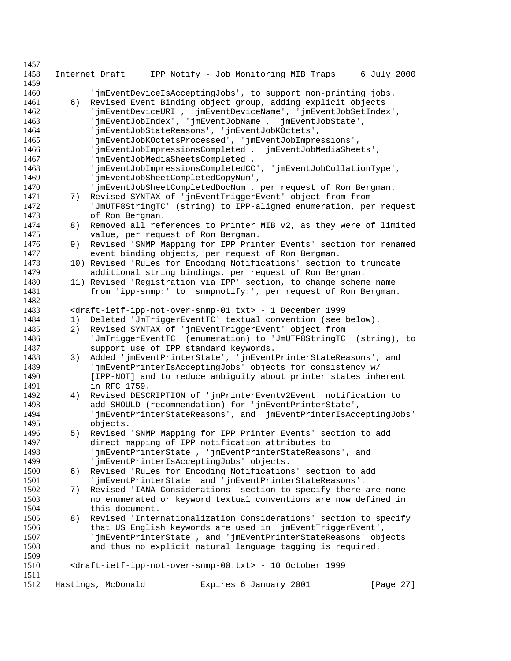| 1457 |    |                                       |                                                                                               |             |
|------|----|---------------------------------------|-----------------------------------------------------------------------------------------------|-------------|
| 1458 |    | Internet Draft                        | IPP Notify - Job Monitoring MIB Traps                                                         | 6 July 2000 |
| 1459 |    |                                       |                                                                                               |             |
| 1460 |    |                                       | 'jmEventDeviceIsAcceptingJobs', to support non-printing jobs.                                 |             |
| 1461 | 6) |                                       | Revised Event Binding object group, adding explicit objects                                   |             |
| 1462 |    |                                       | 'jmEventDeviceURI', 'jmEventDeviceName', 'jmEventJobSetIndex',                                |             |
| 1463 |    |                                       | 'jmEventJobIndex', 'jmEventJobName', 'jmEventJobState',                                       |             |
| 1464 |    |                                       | 'jmEventJobStateReasons', 'jmEventJobKOctets',                                                |             |
| 1465 |    |                                       | 'jmEventJobKOctetsProcessed', 'jmEventJobImpressions',                                        |             |
| 1466 |    |                                       | 'jmEventJobImpressionsCompleted', 'jmEventJobMediaSheets',                                    |             |
| 1467 |    | 'jmEventJobMediaSheetsCompleted',     |                                                                                               |             |
| 1468 |    |                                       | 'jmEventJobImpressionsCompletedCC', 'jmEventJobCollationType',                                |             |
| 1469 |    | 'jmEventJobSheetCompletedCopyNum',    |                                                                                               |             |
| 1470 |    |                                       | 'jmEventJobSheetCompletedDocNum', per request of Ron Bergman.                                 |             |
| 1471 | 7) |                                       | Revised SYNTAX of 'jmEventTriggerEvent' object from from                                      |             |
| 1472 |    |                                       | 'JmUTF8StringTC' (string) to IPP-aligned enumeration, per request                             |             |
| 1473 |    | of Ron Bergman.                       |                                                                                               |             |
| 1474 | 8) |                                       | Removed all references to Printer MIB v2, as they were of limited                             |             |
| 1475 |    | value, per request of Ron Bergman.    |                                                                                               |             |
| 1476 | 9) |                                       | Revised 'SNMP Mapping for IPP Printer Events' section for renamed                             |             |
| 1477 |    |                                       | event binding objects, per request of Ron Bergman.                                            |             |
| 1478 |    |                                       |                                                                                               |             |
| 1479 |    |                                       | 10) Revised 'Rules for Encoding Notifications' section to truncate                            |             |
| 1480 |    |                                       | additional string bindings, per request of Ron Bergman.                                       |             |
|      |    |                                       | 11) Revised 'Registration via IPP' section, to change scheme name                             |             |
| 1481 |    |                                       | from 'ipp-snmp:' to 'snmpnotify:', per request of Ron Bergman.                                |             |
| 1482 |    |                                       |                                                                                               |             |
| 1483 |    |                                       | <draft-ietf-ipp-not-over-snmp-01.txt> - 1 December 1999</draft-ietf-ipp-not-over-snmp-01.txt> |             |
| 1484 | 1) |                                       | Deleted 'JmTriggerEventTC' textual convention (see below).                                    |             |
| 1485 | 2) |                                       | Revised SYNTAX of 'jmEventTriggerEvent' object from                                           |             |
| 1486 |    |                                       | 'JmTriggerEventTC' (enumeration) to 'JmUTF8StringTC' (string), to                             |             |
| 1487 |    | support use of IPP standard keywords. |                                                                                               |             |
| 1488 | 3) |                                       | Added 'jmEventPrinterState', 'jmEventPrinterStateReasons', and                                |             |
| 1489 |    |                                       | 'jmEventPrinterIsAcceptingJobs' objects for consistency w/                                    |             |
| 1490 |    |                                       | [IPP-NOT] and to reduce ambiguity about printer states inherent                               |             |
| 1491 |    | in RFC 1759.                          |                                                                                               |             |
| 1492 | 4) |                                       | Revised DESCRIPTION of 'jmPrinterEventV2Event' notification to                                |             |
| 1493 |    |                                       | add SHOULD (recommendation) for 'jmEventPrinterState',                                        |             |
| 1494 |    |                                       | 'jmEventPrinterStateReasons', and 'jmEventPrinterIsAcceptingJobs'                             |             |
| 1495 |    | objects.                              |                                                                                               |             |
| 1496 | 5) |                                       | Revised 'SNMP Mapping for IPP Printer Events' section to add                                  |             |
| 1497 |    |                                       | direct mapping of IPP notification attributes to                                              |             |
| 1498 |    |                                       | 'jmEventPrinterState', 'jmEventPrinterStateReasons', and                                      |             |
| 1499 |    |                                       | 'jmEventPrinterIsAcceptingJobs' objects.                                                      |             |
| 1500 | 6) |                                       | Revised 'Rules for Encoding Notifications' section to add                                     |             |
| 1501 |    |                                       | 'jmEventPrinterState' and 'jmEventPrinterStateReasons'.                                       |             |
| 1502 | 7) |                                       | Revised 'IANA Considerations' section to specify there are none -                             |             |
| 1503 |    |                                       | no enumerated or keyword textual conventions are now defined in                               |             |
| 1504 |    | this document.                        |                                                                                               |             |
| 1505 | 8) |                                       | Revised 'Internationalization Considerations' section to specify                              |             |
| 1506 |    |                                       | that US English keywords are used in 'jmEventTriggerEvent',                                   |             |
| 1507 |    |                                       | 'jmEventPrinterState', and 'jmEventPrinterStateReasons' objects                               |             |
| 1508 |    |                                       | and thus no explicit natural language tagging is required.                                    |             |
| 1509 |    |                                       |                                                                                               |             |
| 1510 |    |                                       | <draft-ietf-ipp-not-over-snmp-00.txt> - 10 October 1999</draft-ietf-ipp-not-over-snmp-00.txt> |             |
| 1511 |    |                                       |                                                                                               |             |
| 1512 |    | Hastings, McDonald                    | Expires 6 January 2001                                                                        | [Page 27]   |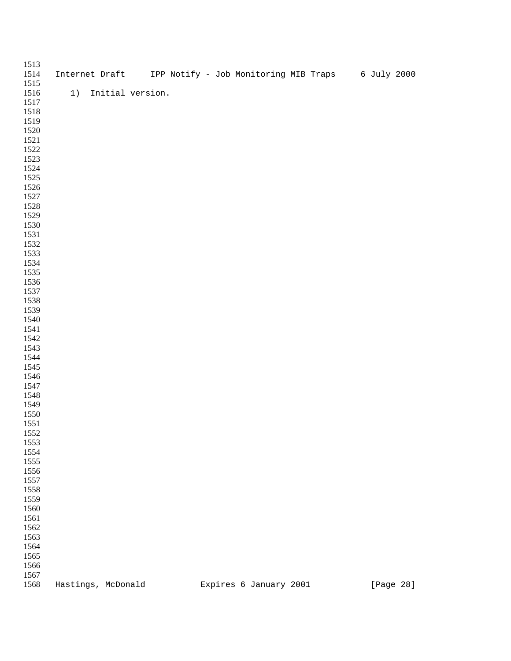| 1513 |                    |                  |  |                        |                                                   |           |  |
|------|--------------------|------------------|--|------------------------|---------------------------------------------------|-----------|--|
| 1514 | Internet Draft     |                  |  |                        | IPP Notify - Job Monitoring MIB Traps 6 July 2000 |           |  |
| 1515 |                    |                  |  |                        |                                                   |           |  |
| 1516 | 1)                 | Initial version. |  |                        |                                                   |           |  |
| 1517 |                    |                  |  |                        |                                                   |           |  |
| 1518 |                    |                  |  |                        |                                                   |           |  |
| 1519 |                    |                  |  |                        |                                                   |           |  |
| 1520 |                    |                  |  |                        |                                                   |           |  |
| 1521 |                    |                  |  |                        |                                                   |           |  |
|      |                    |                  |  |                        |                                                   |           |  |
| 1522 |                    |                  |  |                        |                                                   |           |  |
| 1523 |                    |                  |  |                        |                                                   |           |  |
| 1524 |                    |                  |  |                        |                                                   |           |  |
| 1525 |                    |                  |  |                        |                                                   |           |  |
| 1526 |                    |                  |  |                        |                                                   |           |  |
| 1527 |                    |                  |  |                        |                                                   |           |  |
| 1528 |                    |                  |  |                        |                                                   |           |  |
| 1529 |                    |                  |  |                        |                                                   |           |  |
| 1530 |                    |                  |  |                        |                                                   |           |  |
| 1531 |                    |                  |  |                        |                                                   |           |  |
| 1532 |                    |                  |  |                        |                                                   |           |  |
| 1533 |                    |                  |  |                        |                                                   |           |  |
| 1534 |                    |                  |  |                        |                                                   |           |  |
| 1535 |                    |                  |  |                        |                                                   |           |  |
| 1536 |                    |                  |  |                        |                                                   |           |  |
| 1537 |                    |                  |  |                        |                                                   |           |  |
| 1538 |                    |                  |  |                        |                                                   |           |  |
| 1539 |                    |                  |  |                        |                                                   |           |  |
| 1540 |                    |                  |  |                        |                                                   |           |  |
| 1541 |                    |                  |  |                        |                                                   |           |  |
| 1542 |                    |                  |  |                        |                                                   |           |  |
| 1543 |                    |                  |  |                        |                                                   |           |  |
| 1544 |                    |                  |  |                        |                                                   |           |  |
|      |                    |                  |  |                        |                                                   |           |  |
| 1545 |                    |                  |  |                        |                                                   |           |  |
| 1546 |                    |                  |  |                        |                                                   |           |  |
| 1547 |                    |                  |  |                        |                                                   |           |  |
| 1548 |                    |                  |  |                        |                                                   |           |  |
| 1549 |                    |                  |  |                        |                                                   |           |  |
| 1550 |                    |                  |  |                        |                                                   |           |  |
| 1551 |                    |                  |  |                        |                                                   |           |  |
| 1552 |                    |                  |  |                        |                                                   |           |  |
| 1553 |                    |                  |  |                        |                                                   |           |  |
| 1554 |                    |                  |  |                        |                                                   |           |  |
| 1555 |                    |                  |  |                        |                                                   |           |  |
| 1556 |                    |                  |  |                        |                                                   |           |  |
| 1557 |                    |                  |  |                        |                                                   |           |  |
| 1558 |                    |                  |  |                        |                                                   |           |  |
| 1559 |                    |                  |  |                        |                                                   |           |  |
| 1560 |                    |                  |  |                        |                                                   |           |  |
| 1561 |                    |                  |  |                        |                                                   |           |  |
| 1562 |                    |                  |  |                        |                                                   |           |  |
| 1563 |                    |                  |  |                        |                                                   |           |  |
| 1564 |                    |                  |  |                        |                                                   |           |  |
| 1565 |                    |                  |  |                        |                                                   |           |  |
| 1566 |                    |                  |  |                        |                                                   |           |  |
| 1567 |                    |                  |  |                        |                                                   |           |  |
| 1568 | Hastings, McDonald |                  |  | Expires 6 January 2001 |                                                   | [Page 28] |  |
|      |                    |                  |  |                        |                                                   |           |  |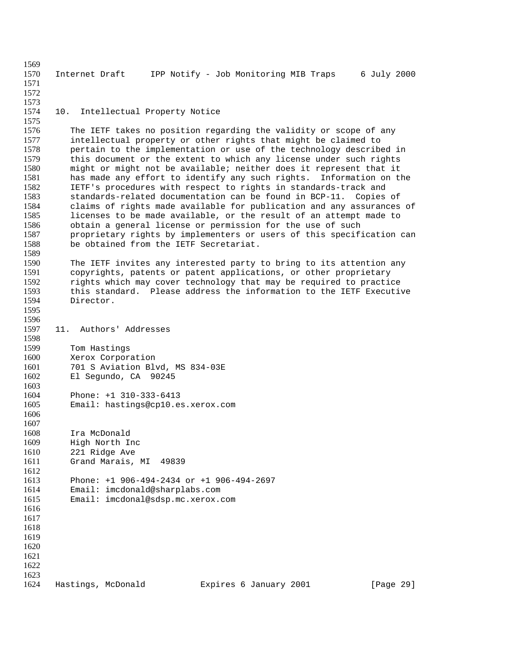Internet Draft IPP Notify - Job Monitoring MIB Traps 6 July 2000 10. Intellectual Property Notice The IETF takes no position regarding the validity or scope of any intellectual property or other rights that might be claimed to pertain to the implementation or use of the technology described in this document or the extent to which any license under such rights might or might not be available; neither does it represent that it has made any effort to identify any such rights. Information on the IETF's procedures with respect to rights in standards-track and standards-related documentation can be found in BCP-11. Copies of claims of rights made available for publication and any assurances of 1585 licenses to be made available, or the result of an attempt made to 1586 cobtain a general license or permission for the use of such 1586 obtain a general license or permission for the use of such<br>1587 – proprietary rights by implementers or users of this specif. proprietary rights by implementers or users of this specification can be obtained from the IETF Secretariat. The IETF invites any interested party to bring to its attention any copyrights, patents or patent applications, or other proprietary rights which may cover technology that may be required to practice 1593 this standard. Please address the information to the IETF Executive 1594 Director. Director. 11. Authors' Addresses Tom Hastings Xerox Corporation 701 S Aviation Blvd, MS 834-03E El Segundo, CA 90245 Phone: +1 310-333-6413 Email: hastings@cp10.es.xerox.com 1607<br>1608 Ira McDonald High North Inc 221 Ridge Ave Grand Marais, MI 49839 Phone: +1 906-494-2434 or +1 906-494-2697 Email: imcdonald@sharplabs.com Email: imcdonal@sdsp.mc.xerox.com Hastings, McDonald Expires 6 January 2001 [Page 29]